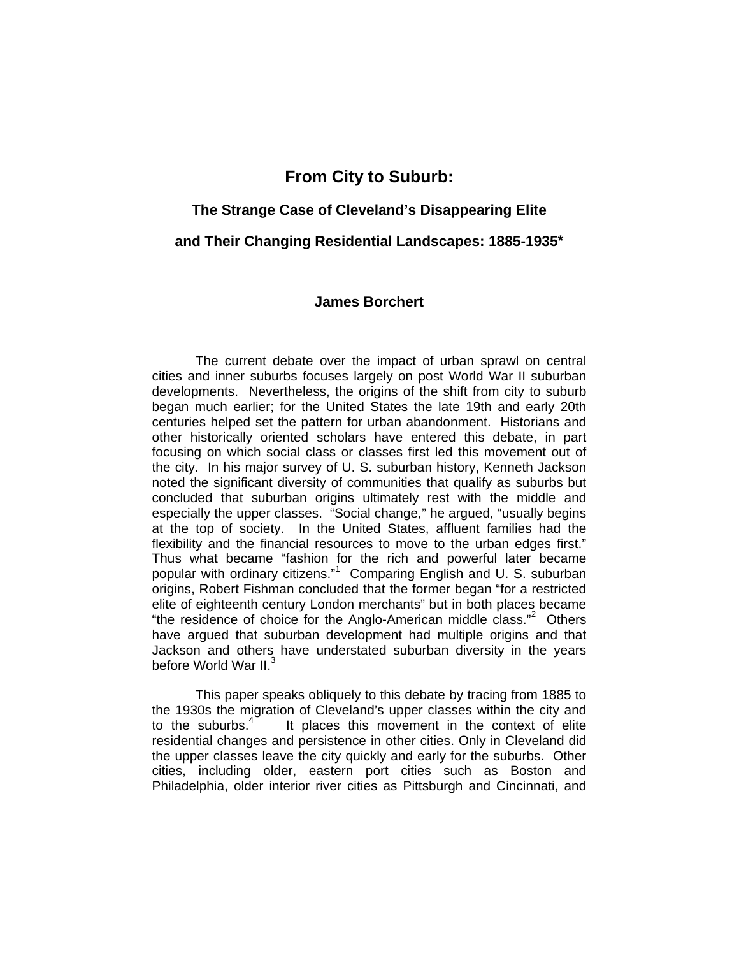# **From City to Suburb:**

# **The Strange Case of Cleveland's Disappearing Elite**

**and Their Changing Residential Landscapes: 1885-1935\***

# **James Borchert**

The current debate over the impact of urban sprawl on central cities and inner suburbs focuses largely on post World War II suburban developments. Nevertheless, the origins of the shift from city to suburb began much earlier; for the United States the late 19th and early 20th centuries helped set the pattern for urban abandonment. Historians and other historically oriented scholars have entered this debate, in part focusing on which social class or classes first led this movement out of the city. In his major survey of U. S. suburban history, Kenneth Jackson noted the significant diversity of communities that qualify as suburbs but concluded that suburban origins ultimately rest with the middle and especially the upper classes. "Social change," he argued, "usually begins at the top of society. In the United States, affluent families had the flexibility and the financial resources to move to the urban edges first." Thus what became "fashion for the rich and powerful later became popular with ordinary citizens."<sup>1</sup> Comparing English and U. S. suburban origins, Robert Fishman concluded that the former began "for a restricted elite of eighteenth century London merchants" but in both places became "the residence of choice for the Anglo-American middle class."<sup>2</sup> Others have argued that suburban development had multiple origins and that Jackson and others have understated suburban diversity in the years before World War II.<sup>3</sup>

This paper speaks obliquely to this debate by tracing from 1885 to the 1930s the migration of Cleveland's upper classes within the city and to the suburbs. $4$  It places this movement in the context of elite residential changes and persistence in other cities. Only in Cleveland did the upper classes leave the city quickly and early for the suburbs. Other cities, including older, eastern port cities such as Boston and Philadelphia, older interior river cities as Pittsburgh and Cincinnati, and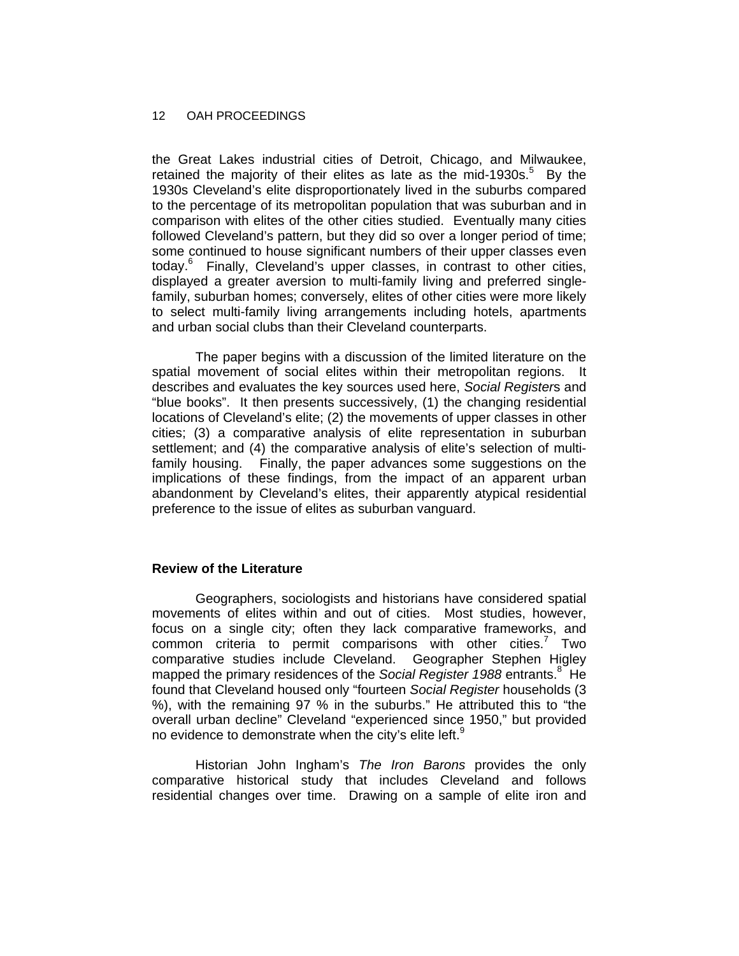the Great Lakes industrial cities of Detroit, Chicago, and Milwaukee, retained the majority of their elites as late as the mid-1930s.<sup>5</sup> By the 1930s Cleveland's elite disproportionately lived in the suburbs compared to the percentage of its metropolitan population that was suburban and in comparison with elites of the other cities studied. Eventually many cities followed Cleveland's pattern, but they did so over a longer period of time; some continued to house significant numbers of their upper classes even today.<sup>6</sup> Finally, Cleveland's upper classes, in contrast to other cities, displayed a greater aversion to multi-family living and preferred singlefamily, suburban homes; conversely, elites of other cities were more likely to select multi-family living arrangements including hotels, apartments and urban social clubs than their Cleveland counterparts.

The paper begins with a discussion of the limited literature on the spatial movement of social elites within their metropolitan regions. It describes and evaluates the key sources used here, *Social Register*s and "blue books". It then presents successively, (1) the changing residential locations of Cleveland's elite; (2) the movements of upper classes in other cities; (3) a comparative analysis of elite representation in suburban settlement; and (4) the comparative analysis of elite's selection of multifamily housing. Finally, the paper advances some suggestions on the implications of these findings, from the impact of an apparent urban abandonment by Cleveland's elites, their apparently atypical residential preference to the issue of elites as suburban vanguard.

# **Review of the Literature**

Geographers, sociologists and historians have considered spatial movements of elites within and out of cities. Most studies, however, focus on a single city; often they lack comparative frameworks, and common criteria to permit comparisons with other cities.<sup>7</sup> Two comparative studies include Cleveland. Geographer Stephen Higley mapped the primary residences of the *Social Register 1988* entrants.<sup>8</sup> He found that Cleveland housed only "fourteen *Social Register* households (3 %), with the remaining 97 % in the suburbs." He attributed this to "the overall urban decline" Cleveland "experienced since 1950," but provided no evidence to demonstrate when the city's elite left. $9$ 

Historian John Ingham's *The Iron Barons* provides the only comparative historical study that includes Cleveland and follows residential changes over time. Drawing on a sample of elite iron and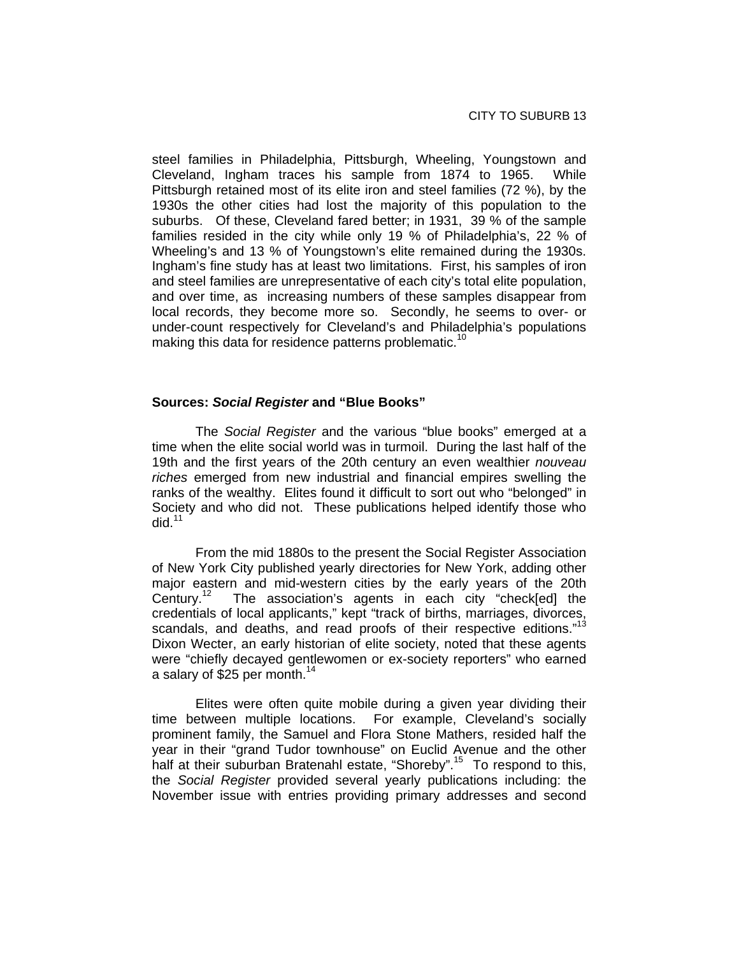steel families in Philadelphia, Pittsburgh, Wheeling, Youngstown and Cleveland, Ingham traces his sample from 1874 to 1965. While Pittsburgh retained most of its elite iron and steel families (72 %), by the 1930s the other cities had lost the majority of this population to the suburbs. Of these, Cleveland fared better; in 1931, 39 % of the sample families resided in the city while only 19 % of Philadelphia's, 22 % of Wheeling's and 13 % of Youngstown's elite remained during the 1930s. Ingham's fine study has at least two limitations. First, his samples of iron and steel families are unrepresentative of each city's total elite population, and over time, as increasing numbers of these samples disappear from local records, they become more so. Secondly, he seems to over- or under-count respectively for Cleveland's and Philadelphia's populations making this data for residence patterns problematic.<sup>10</sup>

# **Sources:** *Social Register* **and "Blue Books"**

The *Social Register* and the various "blue books" emerged at a time when the elite social world was in turmoil. During the last half of the 19th and the first years of the 20th century an even wealthier *nouveau riches* emerged from new industrial and financial empires swelling the ranks of the wealthy. Elites found it difficult to sort out who "belonged" in Society and who did not. These publications helped identify those who did. $11$ 

From the mid 1880s to the present the Social Register Association of New York City published yearly directories for New York, adding other major eastern and mid-western cities by the early years of the 20th Century.<sup>12</sup> The association's agents in each city "check[ed] the credentials of local applicants," kept "track of births, marriages, divorces, scandals, and deaths, and read proofs of their respective editions."<sup>13</sup> Dixon Wecter, an early historian of elite society, noted that these agents were "chiefly decayed gentlewomen or ex-society reporters" who earned a salary of \$25 per month.<sup>14</sup>

Elites were often quite mobile during a given year dividing their time between multiple locations. For example, Cleveland's socially prominent family, the Samuel and Flora Stone Mathers, resided half the year in their "grand Tudor townhouse" on Euclid Avenue and the other half at their suburban Bratenahl estate, "Shoreby".<sup>15</sup> To respond to this, the *Social Register* provided several yearly publications including: the November issue with entries providing primary addresses and second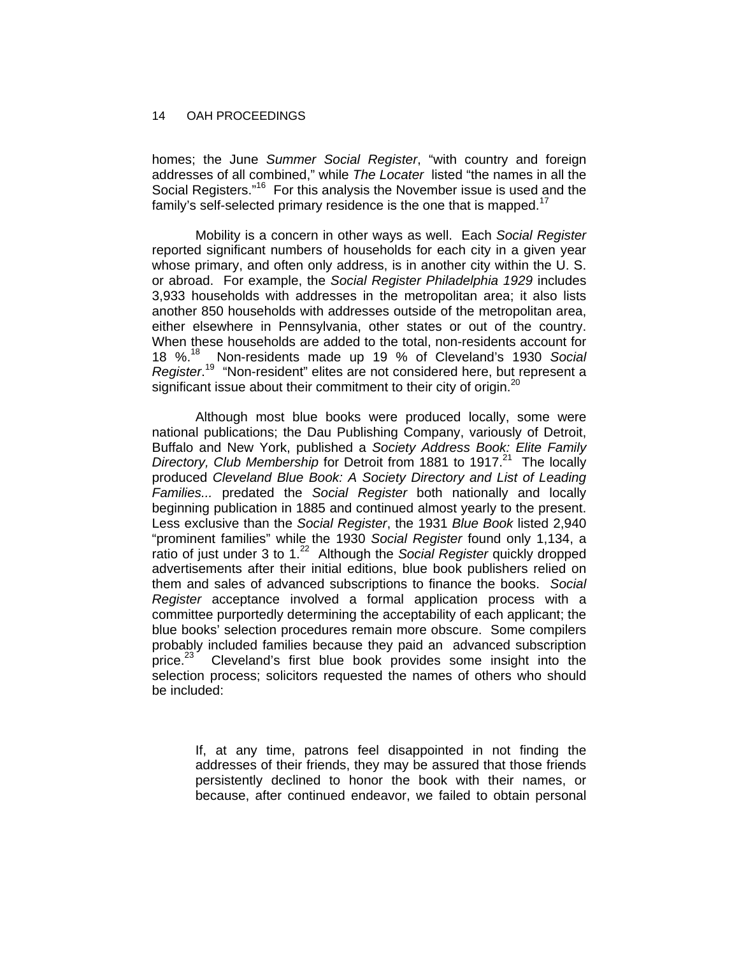homes; the June *Summer Social Register*, "with country and foreign addresses of all combined," while *The Locater* listed "the names in all the Social Registers."<sup>16</sup> For this analysis the November issue is used and the family's self-selected primary residence is the one that is mapped.<sup>17</sup>

Mobility is a concern in other ways as well. Each *Social Register* reported significant numbers of households for each city in a given year whose primary, and often only address, is in another city within the U. S. or abroad. For example, the *Social Register Philadelphia 1929* includes 3,933 households with addresses in the metropolitan area; it also lists another 850 households with addresses outside of the metropolitan area, either elsewhere in Pennsylvania, other states or out of the country. When these households are added to the total, non-residents account for 18 %.18 Non-residents made up 19 % of Cleveland's 1930 *Social Register*. 19 "Non-resident" elites are not considered here, but represent a significant issue about their commitment to their city of origin.<sup>20</sup>

Although most blue books were produced locally, some were national publications; the Dau Publishing Company, variously of Detroit, Buffalo and New York, published a *Society Address Book: Elite Family Directory, Club Membership* for Detroit from 1881 to 1917.<sup>21</sup> The locally produced *Cleveland Blue Book: A Society Directory and List of Leading Families...* predated the *Social Register* both nationally and locally beginning publication in 1885 and continued almost yearly to the present. Less exclusive than the *Social Register*, the 1931 *Blue Book* listed 2,940 "prominent families" while the 1930 *Social Register* found only 1,134, a ratio of just under 3 to 1.22 Although the *Social Register* quickly dropped advertisements after their initial editions, blue book publishers relied on them and sales of advanced subscriptions to finance the books. *Social Register* acceptance involved a formal application process with a committee purportedly determining the acceptability of each applicant; the blue books' selection procedures remain more obscure. Some compilers probably included families because they paid an advanced subscription price.<sup>23</sup> Cleveland's first blue book provides some insight into the selection process; solicitors requested the names of others who should be included:

> If, at any time, patrons feel disappointed in not finding the addresses of their friends, they may be assured that those friends persistently declined to honor the book with their names, or because, after continued endeavor, we failed to obtain personal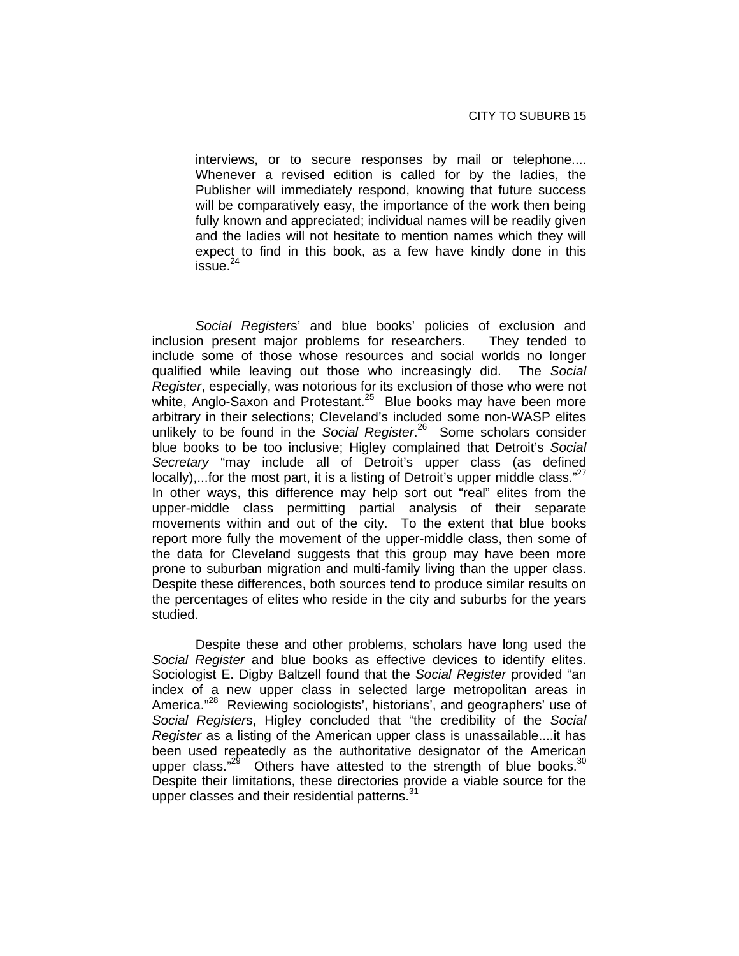interviews, or to secure responses by mail or telephone.... Whenever a revised edition is called for by the ladies, the Publisher will immediately respond, knowing that future success will be comparatively easy, the importance of the work then being fully known and appreciated; individual names will be readily given and the ladies will not hesitate to mention names which they will expect to find in this book, as a few have kindly done in this  $is <sub>24</sub>$ 

*Social Register*s' and blue books' policies of exclusion and inclusion present major problems for researchers. They tended to include some of those whose resources and social worlds no longer qualified while leaving out those who increasingly did. The *Social Register*, especially, was notorious for its exclusion of those who were not white, Anglo-Saxon and Protestant.<sup>25</sup> Blue books may have been more arbitrary in their selections; Cleveland's included some non-WASP elites unlikely to be found in the *Social Register*. 26 Some scholars consider blue books to be too inclusive; Higley complained that Detroit's *Social Secretary* "may include all of Detroit's upper class (as defined locally),...for the most part, it is a listing of Detroit's upper middle class." $27$ In other ways, this difference may help sort out "real" elites from the upper-middle class permitting partial analysis of their separate movements within and out of the city. To the extent that blue books report more fully the movement of the upper-middle class, then some of the data for Cleveland suggests that this group may have been more prone to suburban migration and multi-family living than the upper class. Despite these differences, both sources tend to produce similar results on the percentages of elites who reside in the city and suburbs for the years studied.

Despite these and other problems, scholars have long used the *Social Register* and blue books as effective devices to identify elites. Sociologist E. Digby Baltzell found that the *Social Register* provided "an index of a new upper class in selected large metropolitan areas in America."<sup>28</sup> Reviewing sociologists', historians', and geographers' use of *Social Register*s, Higley concluded that "the credibility of the *Social Register* as a listing of the American upper class is unassailable....it has been used repeatedly as the authoritative designator of the American upper class."<sup>29</sup> Others have attested to the strength of blue books. $30$ Despite their limitations, these directories provide a viable source for the upper classes and their residential patterns. $31$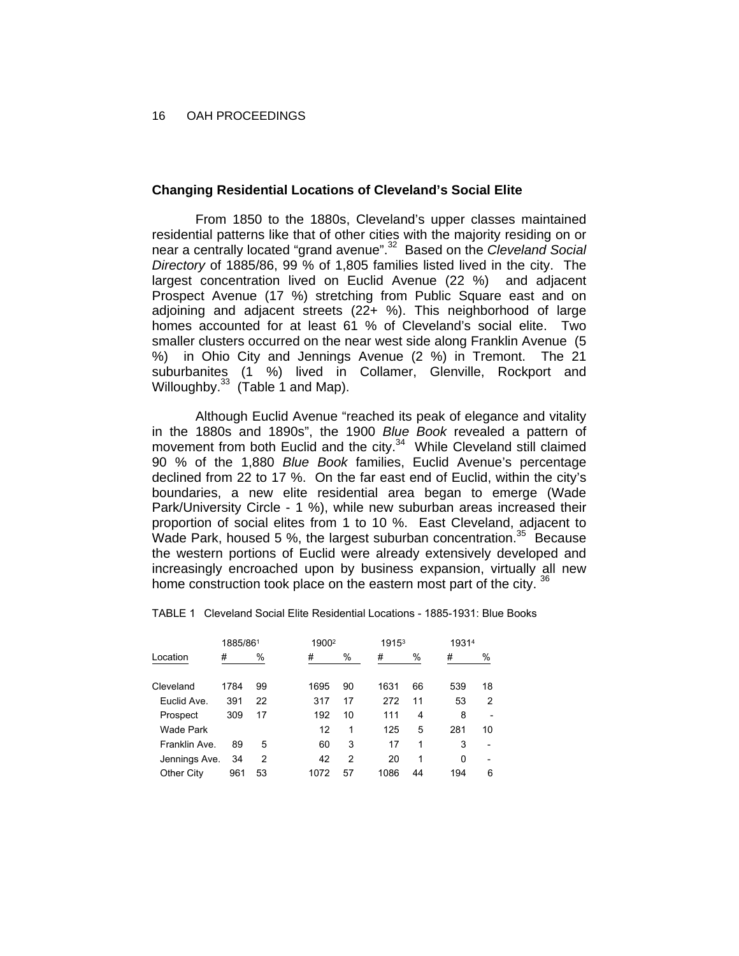# **Changing Residential Locations of Cleveland's Social Elite**

From 1850 to the 1880s, Cleveland's upper classes maintained residential patterns like that of other cities with the majority residing on or near a centrally located "grand avenue".32 Based on the *Cleveland Social Directory* of 1885/86, 99 % of 1,805 families listed lived in the city. The largest concentration lived on Euclid Avenue (22 %) and adjacent Prospect Avenue (17 %) stretching from Public Square east and on adjoining and adjacent streets (22+ %). This neighborhood of large homes accounted for at least 61 % of Cleveland's social elite. Two smaller clusters occurred on the near west side along Franklin Avenue (5 %) in Ohio City and Jennings Avenue (2 %) in Tremont. The 21 suburbanites (1 %) lived in Collamer, Glenville, Rockport and Willoughby. $33$  (Table 1 and Map).

Although Euclid Avenue "reached its peak of elegance and vitality in the 1880s and 1890s", the 1900 *Blue Book* revealed a pattern of movement from both Euclid and the city.<sup>34</sup> While Cleveland still claimed 90 % of the 1,880 *Blue Book* families, Euclid Avenue's percentage declined from 22 to 17 %. On the far east end of Euclid, within the city's boundaries, a new elite residential area began to emerge (Wade Park/University Circle - 1 %), while new suburban areas increased their proportion of social elites from 1 to 10 %. East Cleveland, adjacent to Wade Park, housed 5 %, the largest suburban concentration.<sup>35</sup> Because the western portions of Euclid were already extensively developed and increasingly encroached upon by business expansion, virtually all new home construction took place on the eastern most part of the city. <sup>36</sup>

TABLE 1 Cleveland Social Elite Residential Locations - 1885-1931: Blue Books

|               | 1885/861 |                |      | 1900 <sup>2</sup> |      |    | 19314 |    |
|---------------|----------|----------------|------|-------------------|------|----|-------|----|
| Location      | #        | %              | #    | %                 | #    | %  | #     | %  |
| Cleveland     | 1784     | 99             | 1695 | 90                | 1631 | 66 | 539   | 18 |
| Euclid Ave.   | 391      | 22             | 317  | 17                | 272  | 11 | 53    | 2  |
| Prospect      | 309      | 17             | 192  | 10                | 111  | 4  | 8     |    |
| Wade Park     |          |                | 12   | 1                 | 125  | 5  | 281   | 10 |
| Franklin Ave. | 89       | 5              | 60   | 3                 | 17   | 1  | 3     |    |
| Jennings Ave. | 34       | $\overline{2}$ | 42   | 2                 | 20   | 1  | 0     |    |
| Other City    | 961      | 53             | 1072 | 57                | 1086 | 44 | 194   | 6  |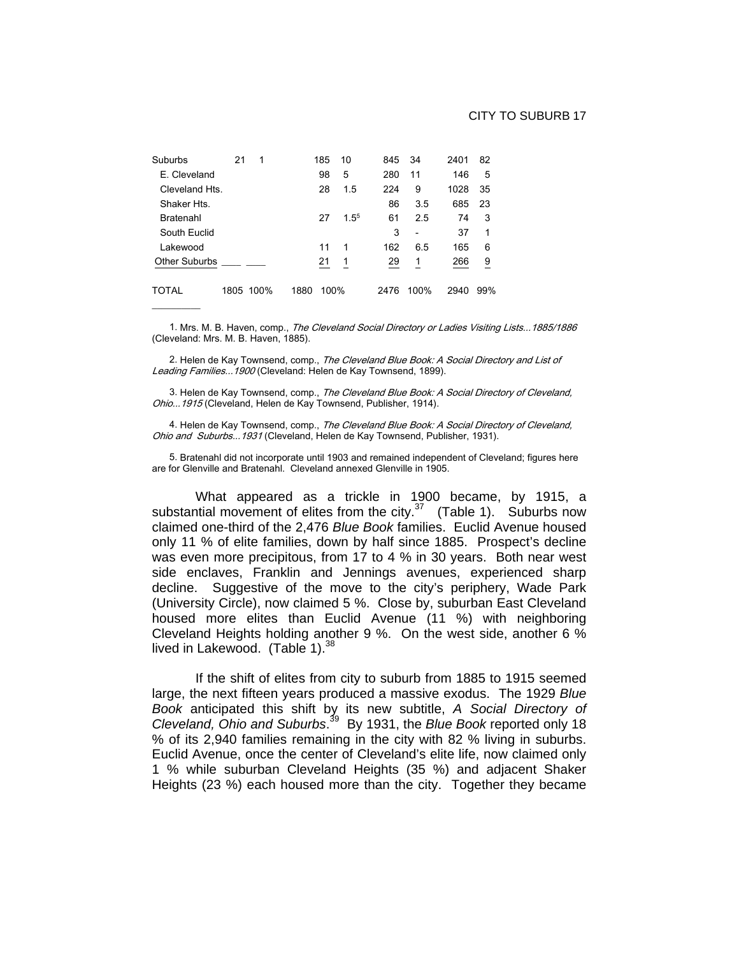| Suburbs              | 21        | 1 |      | 185  | 10        | 845  | 34                       | 2401 | 82             |
|----------------------|-----------|---|------|------|-----------|------|--------------------------|------|----------------|
| E. Cleveland         |           |   |      | 98   | 5         | 280  | 11                       | 146  | 5              |
| Cleveland Hts.       |           |   |      | 28   | 1.5       | 224  | 9                        | 1028 | 35             |
| Shaker Hts.          |           |   |      |      |           | 86   | 3.5                      | 685  | 23             |
| Bratenahl            |           |   |      | 27   | $1.5^{5}$ | 61   | 2.5                      | 74   | 3              |
| South Euclid         |           |   |      |      |           | 3    | $\overline{\phantom{0}}$ | 37   | 1              |
| Lakewood             |           |   |      | 11   | 1         | 162  | 6.5                      | 165  | 6              |
| <b>Other Suburbs</b> |           |   |      | 21   | 1         | 29   | 1                        | 266  | $\overline{9}$ |
| TOTAL                | 1805 100% |   | 1880 | 100% |           | 2476 | 100%                     | 2940 | 99%            |
|                      |           |   |      |      |           |      |                          |      |                |

1. Mrs. M. B. Haven, comp., The Cleveland Social Directory or Ladies Visiting Lists...1885/1886 (Cleveland: Mrs. M. B. Haven, 1885).

2. Helen de Kay Townsend, comp., The Cleveland Blue Book: A Social Directory and List of Leading Families...1900 (Cleveland: Helen de Kay Townsend, 1899).

3. Helen de Kay Townsend, comp., The Cleveland Blue Book: A Social Directory of Cleveland, Ohio...1915 (Cleveland, Helen de Kay Townsend, Publisher, 1914).

4. Helen de Kay Townsend, comp., *The Cleveland Blue Book: A Social Directory of Cleveland,* Ohio and Suburbs...1931 (Cleveland, Helen de Kay Townsend, Publisher, 1931).

5. Bratenahl did not incorporate until 1903 and remained independent of Cleveland; figures here are for Glenville and Bratenahl. Cleveland annexed Glenville in 1905.

What appeared as a trickle in 1900 became, by 1915, a substantial movement of elites from the city. $37$  (Table 1). Suburbs now claimed one-third of the 2,476 *Blue Book* families. Euclid Avenue housed only 11 % of elite families, down by half since 1885. Prospect's decline was even more precipitous, from 17 to 4 % in 30 years. Both near west side enclaves, Franklin and Jennings avenues, experienced sharp decline. Suggestive of the move to the city's periphery, Wade Park (University Circle), now claimed 5 %. Close by, suburban East Cleveland housed more elites than Euclid Avenue (11 %) with neighboring Cleveland Heights holding another 9 %. On the west side, another 6 % lived in Lakewood. (Table 1).<sup>38</sup>

If the shift of elites from city to suburb from 1885 to 1915 seemed large, the next fifteen years produced a massive exodus. The 1929 *Blue Book* anticipated this shift by its new subtitle, *A Social Directory of Cleveland, Ohio and Suburbs*. 39 By 1931, the *Blue Book* reported only 18 % of its 2,940 families remaining in the city with 82 % living in suburbs. Euclid Avenue, once the center of Cleveland's elite life, now claimed only 1 % while suburban Cleveland Heights (35 %) and adjacent Shaker Heights (23 %) each housed more than the city. Together they became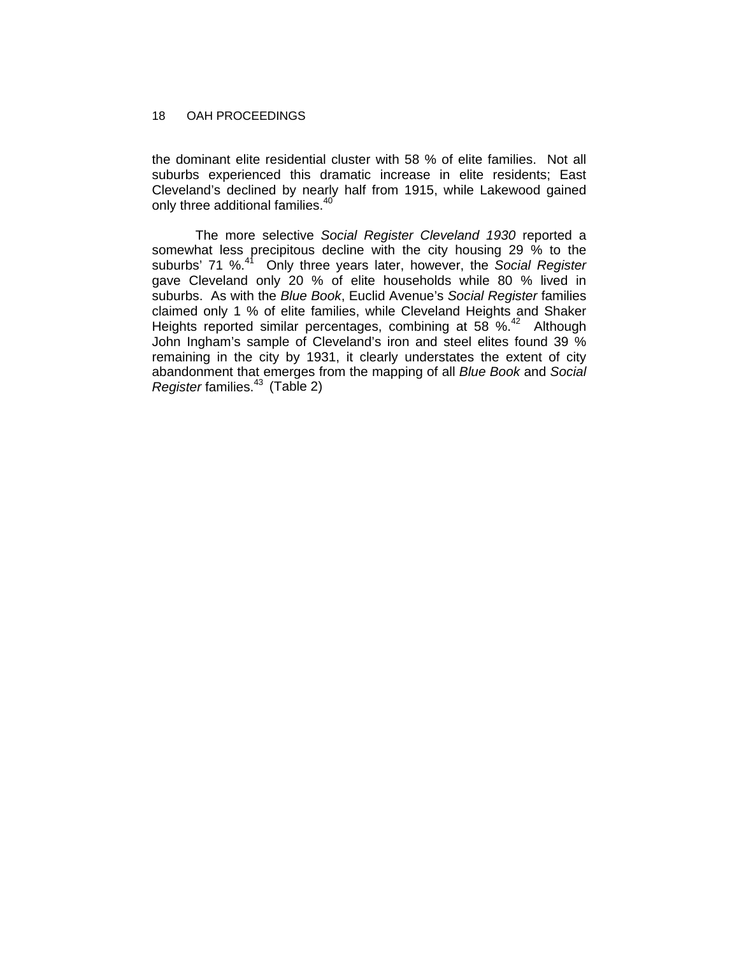the dominant elite residential cluster with 58 % of elite families. Not all suburbs experienced this dramatic increase in elite residents; East Cleveland's declined by nearly half from 1915, while Lakewood gained only three additional families.<sup>40</sup>

The more selective *Social Register Cleveland 1930* reported a somewhat less precipitous decline with the city housing 29 % to the suburbs' 71 %.41 Only three years later, however, the *Social Register* gave Cleveland only 20 % of elite households while 80 % lived in suburbs. As with the *Blue Book*, Euclid Avenue's *Social Register* families claimed only 1 % of elite families, while Cleveland Heights and Shaker Heights reported similar percentages, combining at 58 %.42 Although John Ingham's sample of Cleveland's iron and steel elites found 39 % remaining in the city by 1931, it clearly understates the extent of city abandonment that emerges from the mapping of all *Blue Book* and *Social Register* families.43 (Table 2)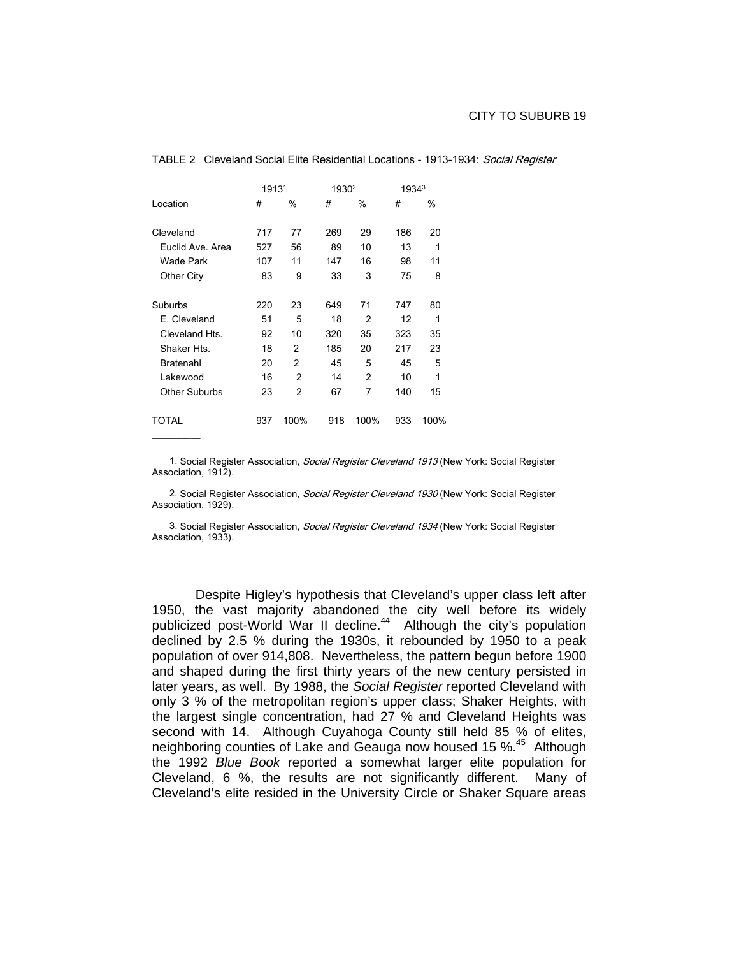|                      | 19131 |      | 1930 <sup>2</sup> |      | 1934 <sup>3</sup> |      |  |
|----------------------|-------|------|-------------------|------|-------------------|------|--|
| Location             | #     | %    | #                 | %    | #                 | %    |  |
|                      |       |      |                   |      |                   |      |  |
| Cleveland            | 717   | 77   | 269               | 29   | 186               | 20   |  |
| Euclid Ave, Area     | 527   | 56   | 89                | 10   | 13                | 1    |  |
| Wade Park            | 107   | 11   | 147               | 16   | 98                | 11   |  |
| Other City           | 83    | 9    | 33                | 3    | 75                | 8    |  |
|                      |       |      |                   |      |                   |      |  |
| Suburbs              | 220   | 23   | 649               | 71   | 747               | 80   |  |
| E. Cleveland         | 51    | 5    | 18                | 2    | 12                | 1    |  |
| Cleveland Hts.       | 92    | 10   | 320               | 35   | 323               | 35   |  |
| Shaker Hts.          | 18    | 2    | 185               | 20   | 217               | 23   |  |
| Bratenahl            | 20    | 2    | 45                | 5    | 45                | 5    |  |
| Lakewood             | 16    | 2    | 14                | 2    | 10                | 1    |  |
| <b>Other Suburbs</b> | 23    | 2    | 67                | 7    | 140               | 15   |  |
|                      |       |      |                   |      |                   |      |  |
| TOTAL                | 937   | 100% | 918               | 100% | 933               | 100% |  |

 $\overline{\phantom{a}}$ 

#### TABLE 2 Cleveland Social Elite Residential Locations - 1913-1934: Social Register

1. Social Register Association, Social Register Cleveland 1913 (New York: Social Register Association, 1912).

2. Social Register Association, Social Register Cleveland 1930 (New York: Social Register Association, 1929).

3. Social Register Association, Social Register Cleveland 1934 (New York: Social Register Association, 1933).

Despite Higley's hypothesis that Cleveland's upper class left after 1950, the vast majority abandoned the city well before its widely publicized post-World War II decline.<sup>44</sup> Although the city's population declined by 2.5 % during the 1930s, it rebounded by 1950 to a peak population of over 914,808. Nevertheless, the pattern begun before 1900 and shaped during the first thirty years of the new century persisted in later years, as well. By 1988, the *Social Register* reported Cleveland with only 3 % of the metropolitan region's upper class; Shaker Heights, with the largest single concentration, had 27 % and Cleveland Heights was second with 14. Although Cuyahoga County still held 85 % of elites, neighboring counties of Lake and Geauga now housed 15 %.<sup>45</sup> Although the 1992 *Blue Book* reported a somewhat larger elite population for Cleveland, 6 %, the results are not significantly different. Many of Cleveland's elite resided in the University Circle or Shaker Square areas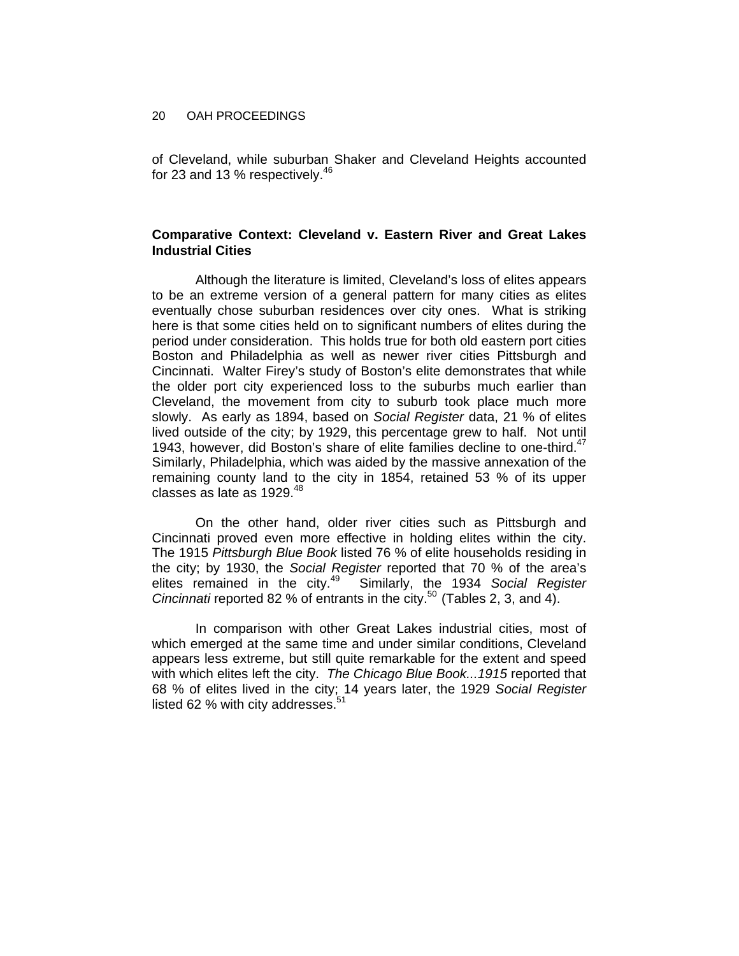of Cleveland, while suburban Shaker and Cleveland Heights accounted for 23 and 13 % respectively. $46$ 

# **Comparative Context: Cleveland v. Eastern River and Great Lakes Industrial Cities**

Although the literature is limited, Cleveland's loss of elites appears to be an extreme version of a general pattern for many cities as elites eventually chose suburban residences over city ones. What is striking here is that some cities held on to significant numbers of elites during the period under consideration. This holds true for both old eastern port cities Boston and Philadelphia as well as newer river cities Pittsburgh and Cincinnati. Walter Firey's study of Boston's elite demonstrates that while the older port city experienced loss to the suburbs much earlier than Cleveland, the movement from city to suburb took place much more slowly. As early as 1894, based on *Social Register* data, 21 % of elites lived outside of the city; by 1929, this percentage grew to half. Not until 1943, however, did Boston's share of elite families decline to one-third. $47$ Similarly, Philadelphia, which was aided by the massive annexation of the remaining county land to the city in 1854, retained 53 % of its upper classes as late as  $1929.<sup>48</sup>$ 

On the other hand, older river cities such as Pittsburgh and Cincinnati proved even more effective in holding elites within the city. The 1915 *Pittsburgh Blue Book* listed 76 % of elite households residing in the city; by 1930, the *Social Register* reported that 70 % of the area's Similarly, the 1934 Social Register *Cincinnati* reported 82 % of entrants in the city.<sup>50</sup> (Tables 2, 3, and 4).

In comparison with other Great Lakes industrial cities, most of which emerged at the same time and under similar conditions, Cleveland appears less extreme, but still quite remarkable for the extent and speed with which elites left the city. *The Chicago Blue Book...1915* reported that 68 % of elites lived in the city; 14 years later, the 1929 *Social Register* listed 62 % with city addresses.<sup>51</sup>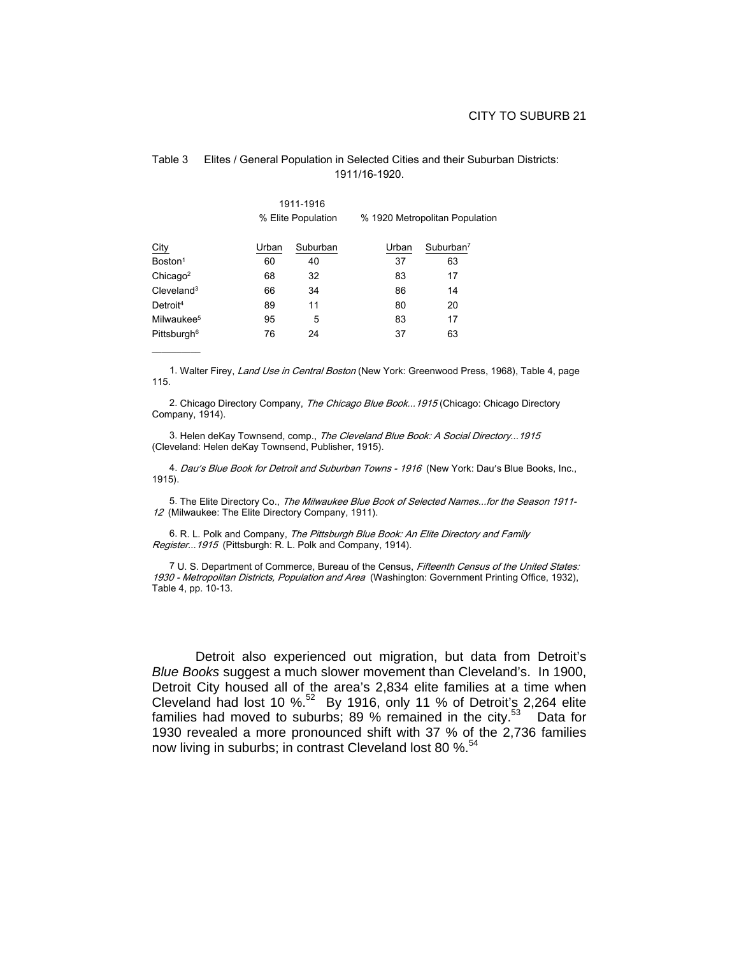|                           |       | 1911-1916<br>% Elite Population |       | % 1920 Metropolitan Population |
|---------------------------|-------|---------------------------------|-------|--------------------------------|
| City                      | Urban | Suburban                        | Urban | Suburban $7$                   |
| Boston <sup>1</sup>       | 60    | 40                              | 37    | 63                             |
| Chicago <sup>2</sup>      | 68    | 32                              | 83    | 17                             |
| $C$ leveland <sup>3</sup> | 66    | 34                              | 86    | 14                             |
| Detroit <sup>4</sup>      | 89    | 11                              | 80    | 20                             |
| Milwaukee <sup>5</sup>    | 95    | 5                               | 83    | 17                             |
| Pittsburgh <sup>6</sup>   | 76    | 24                              | 37    | 63                             |

 $\frac{1}{2}$ 

### Table 3 Elites / General Population in Selected Cities and their Suburban Districts: 1911/16-1920.

1. Walter Firey, Land Use in Central Boston (New York: Greenwood Press, 1968), Table 4, page 115.

2. Chicago Directory Company, The Chicago Blue Book... 1915 (Chicago: Chicago Directory Company, 1914).

3. Helen deKay Townsend, comp., The Cleveland Blue Book: A Social Directory... 1915 (Cleveland: Helen deKay Townsend, Publisher, 1915).

4. Dau's Blue Book for Detroit and Suburban Towns - 1916 (New York: Dau's Blue Books, Inc., 1915).

5. The Elite Directory Co., The Milwaukee Blue Book of Selected Names...for the Season 1911-12 (Milwaukee: The Elite Directory Company, 1911).

6. R. L. Polk and Company, The Pittsburgh Blue Book: An Elite Directory and Family Register...1915 (Pittsburgh: R. L. Polk and Company, 1914).

7 U. S. Department of Commerce, Bureau of the Census, Fifteenth Census of the United States: 1930 - Metropolitan Districts, Population and Area (Washington: Government Printing Office, 1932), Table 4, pp. 10-13.

Detroit also experienced out migration, but data from Detroit's *Blue Books* suggest a much slower movement than Cleveland's. In 1900, Detroit City housed all of the area's 2,834 elite families at a time when Cleveland had lost 10 %. $52$  By 1916, only 11 % of Detroit's 2,264 elite families had moved to suburbs; 89 % remained in the city. $53$  Data for 1930 revealed a more pronounced shift with 37 % of the 2,736 families now living in suburbs; in contrast Cleveland lost 80 %.<sup>54</sup>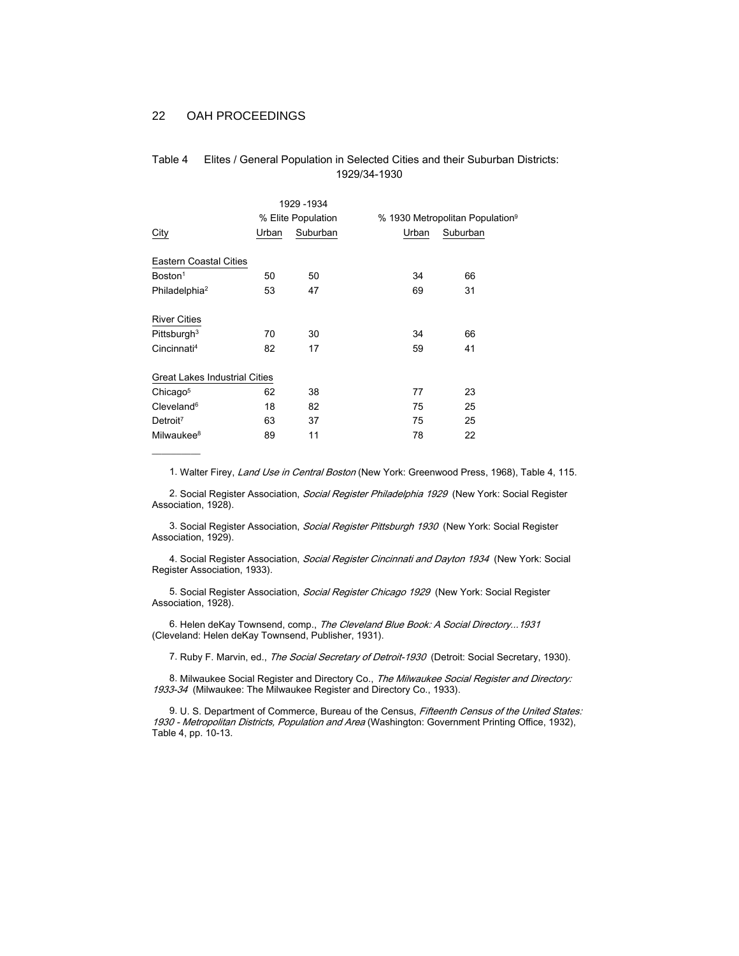$\frac{1}{2}$ 

| Table 4 | Elites / General Population in Selected Cities and their Suburban Districts: |
|---------|------------------------------------------------------------------------------|
|         | 1929/34-1930                                                                 |

|                                      |       | 1929 - 1934        |    |                                             |  |  |
|--------------------------------------|-------|--------------------|----|---------------------------------------------|--|--|
|                                      |       | % Elite Population |    | % 1930 Metropolitan Population <sup>9</sup> |  |  |
| <b>City</b>                          | Urban | Suburban<br>Urban  |    | Suburban                                    |  |  |
| <b>Eastern Coastal Cities</b>        |       |                    |    |                                             |  |  |
| Boston <sup>1</sup>                  | 50    | 50                 | 34 | 66                                          |  |  |
| Philadelphia <sup>2</sup>            | 53    | 47                 | 69 | 31                                          |  |  |
|                                      |       |                    |    |                                             |  |  |
| <b>River Cities</b>                  |       |                    |    |                                             |  |  |
| Pittsburgh $3$                       | 70    | 30                 | 34 | 66                                          |  |  |
| Cincinnati <sup>4</sup>              | 82    | 17                 | 59 | 41                                          |  |  |
|                                      |       |                    |    |                                             |  |  |
| <b>Great Lakes Industrial Cities</b> |       |                    |    |                                             |  |  |
| Chicago <sup>5</sup>                 | 62    | 38                 | 77 | 23                                          |  |  |
| $C$ leveland $6$                     | 18    | 82                 | 75 | 25                                          |  |  |
| Detroit <sup>7</sup>                 | 63    | 37                 | 75 | 25                                          |  |  |
| Milwaukee <sup>8</sup>               | 89    | 11                 | 78 | 22                                          |  |  |
|                                      |       |                    |    |                                             |  |  |

1. Walter Firey, Land Use in Central Boston (New York: Greenwood Press, 1968), Table 4, 115.

2. Social Register Association, Social Register Philadelphia 1929 (New York: Social Register Association, 1928).

3. Social Register Association, Social Register Pittsburgh 1930 (New York: Social Register Association, 1929).

4. Social Register Association, Social Register Cincinnati and Dayton 1934 (New York: Social Register Association, 1933).

5. Social Register Association, Social Register Chicago 1929 (New York: Social Register Association, 1928).

6. Helen deKay Townsend, comp., The Cleveland Blue Book: A Social Directory... 1931 (Cleveland: Helen deKay Townsend, Publisher, 1931).

7. Ruby F. Marvin, ed., The Social Secretary of Detroit-1930 (Detroit: Social Secretary, 1930).

8. Milwaukee Social Register and Directory Co., The Milwaukee Social Register and Directory: 1933-34 (Milwaukee: The Milwaukee Register and Directory Co., 1933).

9. U. S. Department of Commerce, Bureau of the Census, Fifteenth Census of the United States: 1930 - Metropolitan Districts, Population and Area (Washington: Government Printing Office, 1932), Table 4, pp. 10-13.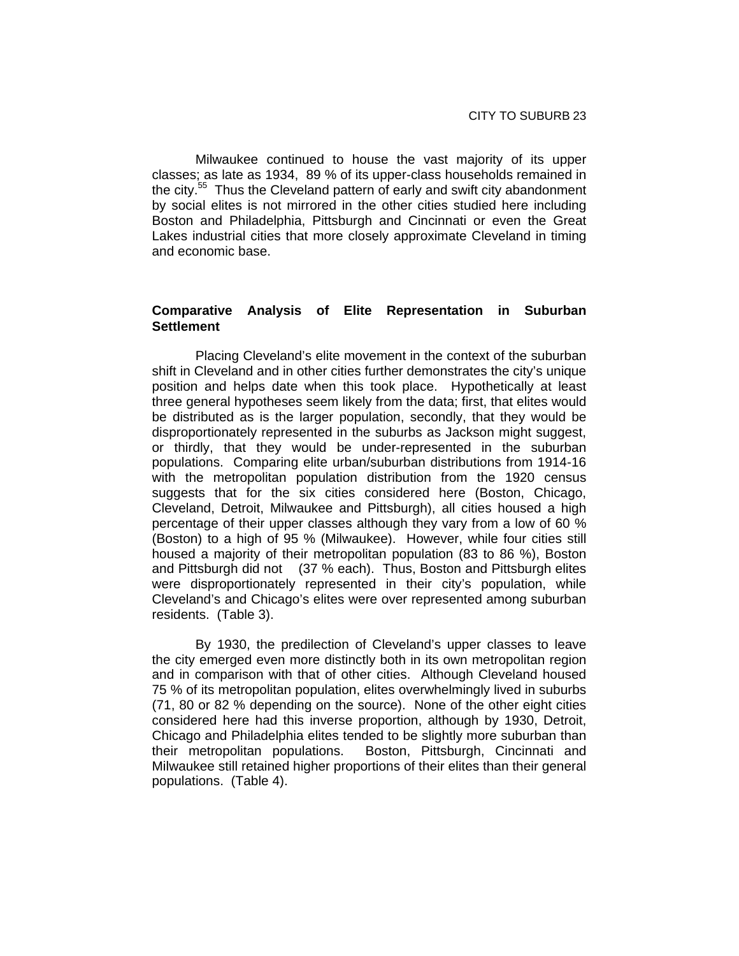Milwaukee continued to house the vast majority of its upper classes; as late as 1934, 89 % of its upper-class households remained in the city.<sup>55</sup> Thus the Cleveland pattern of early and swift city abandonment by social elites is not mirrored in the other cities studied here including Boston and Philadelphia, Pittsburgh and Cincinnati or even the Great Lakes industrial cities that more closely approximate Cleveland in timing and economic base.

# **Comparative Analysis of Elite Representation in Suburban Settlement**

Placing Cleveland's elite movement in the context of the suburban shift in Cleveland and in other cities further demonstrates the city's unique position and helps date when this took place. Hypothetically at least three general hypotheses seem likely from the data; first, that elites would be distributed as is the larger population, secondly, that they would be disproportionately represented in the suburbs as Jackson might suggest, or thirdly, that they would be under-represented in the suburban populations. Comparing elite urban/suburban distributions from 1914-16 with the metropolitan population distribution from the 1920 census suggests that for the six cities considered here (Boston, Chicago, Cleveland, Detroit, Milwaukee and Pittsburgh), all cities housed a high percentage of their upper classes although they vary from a low of 60 % (Boston) to a high of 95 % (Milwaukee). However, while four cities still housed a majority of their metropolitan population (83 to 86 %), Boston and Pittsburgh did not (37 % each). Thus, Boston and Pittsburgh elites were disproportionately represented in their city's population, while Cleveland's and Chicago's elites were over represented among suburban residents. (Table 3).

By 1930, the predilection of Cleveland's upper classes to leave the city emerged even more distinctly both in its own metropolitan region and in comparison with that of other cities. Although Cleveland housed 75 % of its metropolitan population, elites overwhelmingly lived in suburbs (71, 80 or 82 % depending on the source). None of the other eight cities considered here had this inverse proportion, although by 1930, Detroit, Chicago and Philadelphia elites tended to be slightly more suburban than their metropolitan populations. Boston, Pittsburgh, Cincinnati and Milwaukee still retained higher proportions of their elites than their general populations. (Table 4).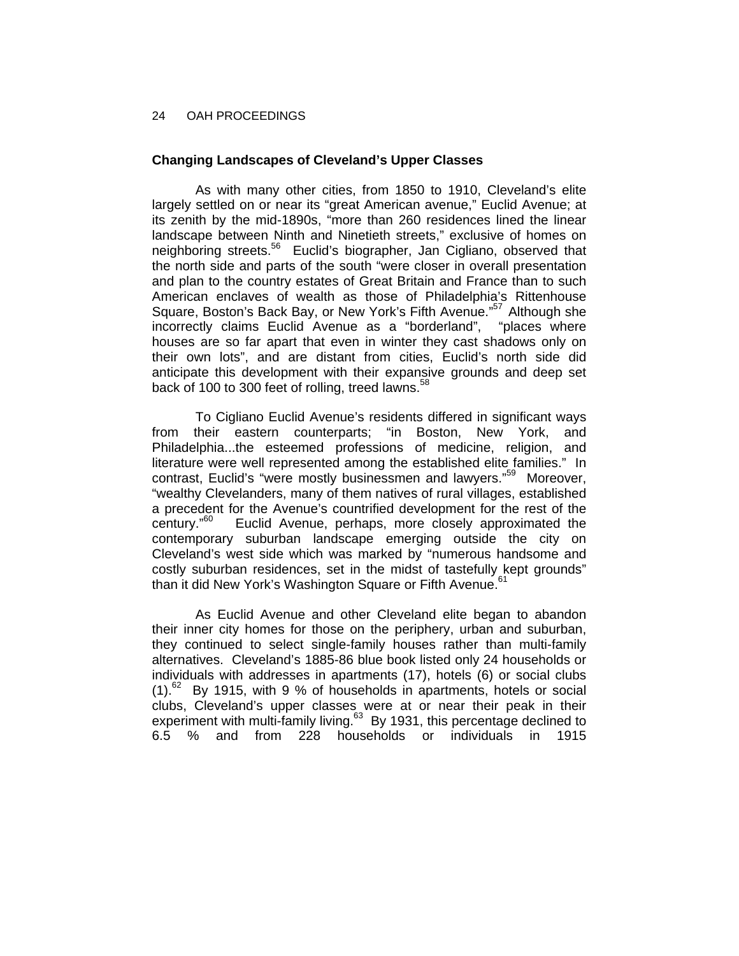# **Changing Landscapes of Cleveland's Upper Classes**

As with many other cities, from 1850 to 1910, Cleveland's elite largely settled on or near its "great American avenue," Euclid Avenue; at its zenith by the mid-1890s, "more than 260 residences lined the linear landscape between Ninth and Ninetieth streets," exclusive of homes on neighboring streets.<sup>56</sup> Euclid's biographer, Jan Cigliano, observed that the north side and parts of the south "were closer in overall presentation and plan to the country estates of Great Britain and France than to such American enclaves of wealth as those of Philadelphia's Rittenhouse Square, Boston's Back Bay, or New York's Fifth Avenue."<sup>57</sup> Although she incorrectly claims Euclid Avenue as a "borderland", "places where houses are so far apart that even in winter they cast shadows only on their own lots", and are distant from cities, Euclid's north side did anticipate this development with their expansive grounds and deep set back of 100 to 300 feet of rolling, treed lawns.<sup>58</sup>

To Cigliano Euclid Avenue's residents differed in significant ways from their eastern counterparts; "in Boston, New York, and Philadelphia...the esteemed professions of medicine, religion, and literature were well represented among the established elite families." In contrast, Euclid's "were mostly businessmen and lawyers."<sup>59</sup> Moreover, "wealthy Clevelanders, many of them natives of rural villages, established a precedent for the Avenue's countrified development for the rest of the century.<sup>60</sup> Euclid Avenue, perhaps, more closely approximated the Euclid Avenue, perhaps, more closely approximated the contemporary suburban landscape emerging outside the city on Cleveland's west side which was marked by "numerous handsome and costly suburban residences, set in the midst of tastefully kept grounds" than it did New York's Washington Square or Fifth Avenue.<sup>6</sup>

As Euclid Avenue and other Cleveland elite began to abandon their inner city homes for those on the periphery, urban and suburban, they continued to select single-family houses rather than multi-family alternatives. Cleveland's 1885-86 blue book listed only 24 households or individuals with addresses in apartments (17), hotels (6) or social clubs  $(1)$ .<sup>62</sup> By 1915, with 9 % of households in apartments, hotels or social clubs, Cleveland's upper classes were at or near their peak in their experiment with multi-family living.<sup>63</sup> By 1931, this percentage declined to 6.5 % and from 228 households or individuals in 1915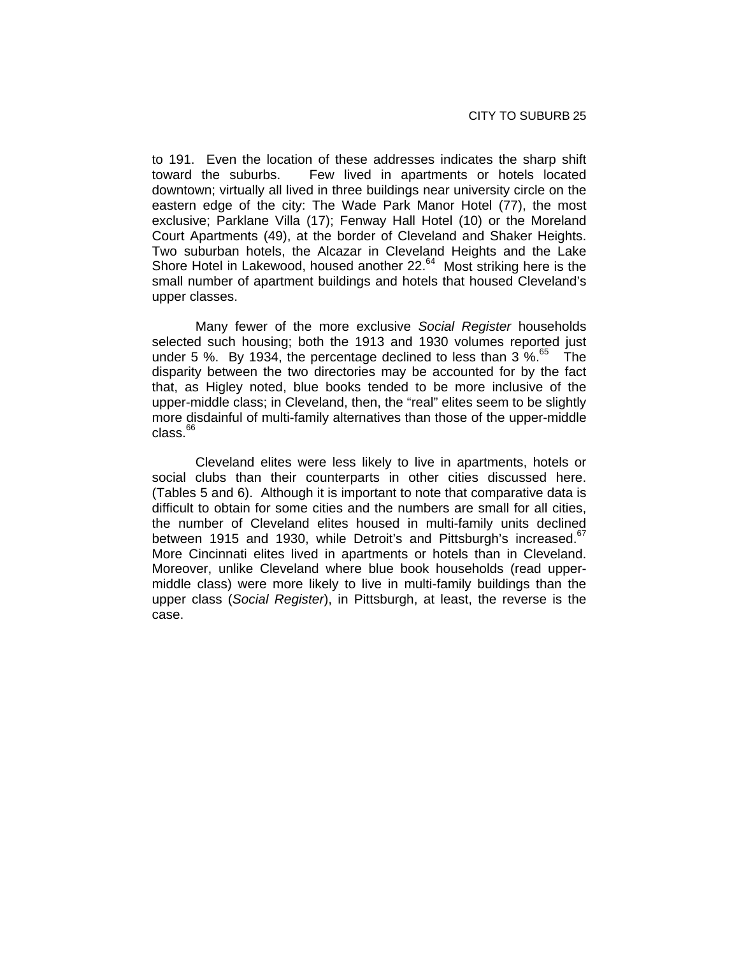to 191. Even the location of these addresses indicates the sharp shift toward the suburbs. Few lived in apartments or hotels located downtown; virtually all lived in three buildings near university circle on the eastern edge of the city: The Wade Park Manor Hotel (77), the most exclusive; Parklane Villa (17); Fenway Hall Hotel (10) or the Moreland Court Apartments (49), at the border of Cleveland and Shaker Heights. Two suburban hotels, the Alcazar in Cleveland Heights and the Lake Shore Hotel in Lakewood, housed another 22.<sup>64</sup> Most striking here is the small number of apartment buildings and hotels that housed Cleveland's upper classes.

Many fewer of the more exclusive *Social Register* households selected such housing; both the 1913 and 1930 volumes reported just under 5 %. By 1934, the percentage declined to less than 3 %. $^{65}$  The disparity between the two directories may be accounted for by the fact that, as Higley noted, blue books tended to be more inclusive of the upper-middle class; in Cleveland, then, the "real" elites seem to be slightly more disdainful of multi-family alternatives than those of the upper-middle  $class.<sup>66</sup>$ 

Cleveland elites were less likely to live in apartments, hotels or social clubs than their counterparts in other cities discussed here. (Tables 5 and 6). Although it is important to note that comparative data is difficult to obtain for some cities and the numbers are small for all cities, the number of Cleveland elites housed in multi-family units declined between 1915 and 1930, while Detroit's and Pittsburgh's increased.<sup>67</sup> More Cincinnati elites lived in apartments or hotels than in Cleveland. Moreover, unlike Cleveland where blue book households (read uppermiddle class) were more likely to live in multi-family buildings than the upper class (*Social Register*), in Pittsburgh, at least, the reverse is the case.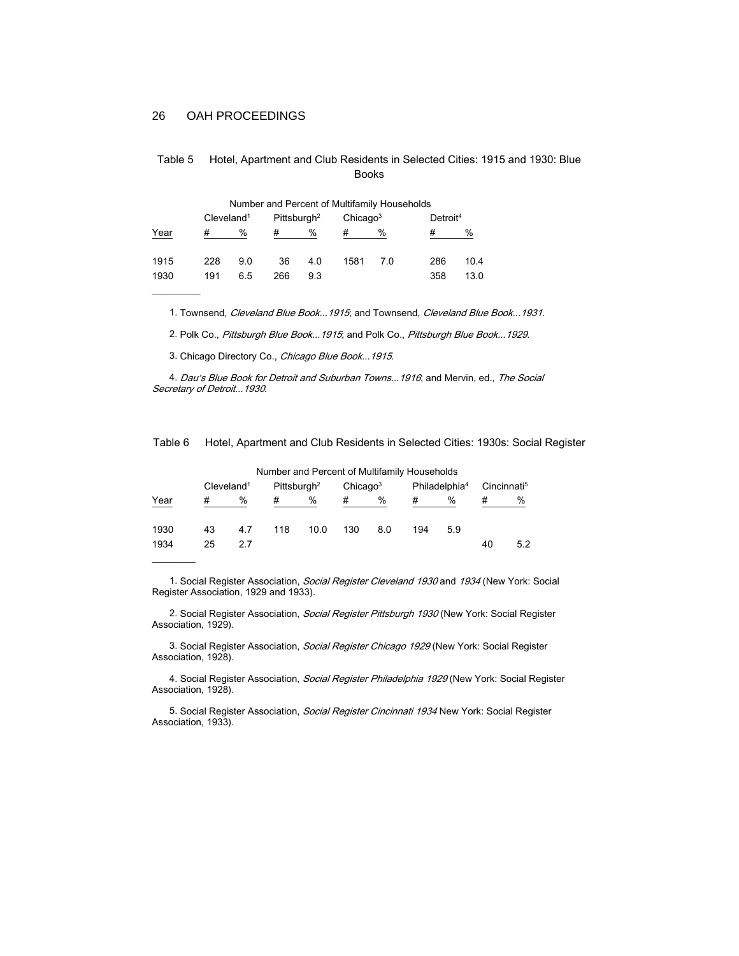| Number and Percent of Multifamily Households |                           |     |                         |     |      |                      |     |                      |  |
|----------------------------------------------|---------------------------|-----|-------------------------|-----|------|----------------------|-----|----------------------|--|
|                                              | $C$ leveland <sup>1</sup> |     | Pittsburgh <sup>2</sup> |     |      | Chicago <sup>3</sup> |     | Detroit <sup>4</sup> |  |
| Year                                         | #                         | %   | #                       | %   | #    | %                    | #   | %                    |  |
| 1915                                         | 228                       | 9.0 | 36                      | 4.0 | 1581 | 70                   | 286 | 10.4                 |  |
| 1930                                         | 191                       | 6.5 | 266                     | 9.3 |      |                      | 358 | 13.0                 |  |
|                                              |                           |     |                         |     |      |                      |     |                      |  |

| Table 5 | Hotel, Apartment and Club Residents in Selected Cities: 1915 and 1930: Blue |
|---------|-----------------------------------------------------------------------------|
|         | <b>Books</b>                                                                |

1. Townsend, Cleveland Blue Book... 1915; and Townsend, Cleveland Blue Book... 1931.

2. Polk Co., Pittsburgh Blue Book... 1915; and Polk Co., Pittsburgh Blue Book... 1929.

3. Chicago Directory Co., Chicago Blue Book... 1915.

4. Dau's Blue Book for Detroit and Suburban Towns... 1916; and Mervin, ed., The Social Secretary of Detroit...1930.

Table 6 Hotel, Apartment and Club Residents in Selected Cities: 1930s: Social Register

|                           | Number and Percent of Multifamily Households |                         |     |      |                      |     |                           |     |                         |     |
|---------------------------|----------------------------------------------|-------------------------|-----|------|----------------------|-----|---------------------------|-----|-------------------------|-----|
| $C$ leveland <sup>1</sup> |                                              | Pittsburgh <sup>2</sup> |     |      | Chicago <sup>3</sup> |     | Philadelphia <sup>4</sup> |     | Cincinnati <sup>5</sup> |     |
| Year                      | #                                            | %                       | #   | %    | #                    | %   | #                         | %   |                         | %   |
| 1930                      | 43                                           | 4.7                     | 118 | 10.0 | 130                  | 8.0 | 194                       | 5.9 |                         |     |
| 1934                      | 25                                           | 27                      |     |      |                      |     |                           |     | 40                      | 5.2 |
|                           |                                              |                         |     |      |                      |     |                           |     |                         |     |

1. Social Register Association, Social Register Cleveland 1930 and 1934 (New York: Social Register Association, 1929 and 1933).

2. Social Register Association, Social Register Pittsburgh 1930 (New York: Social Register Association, 1929).

3. Social Register Association, Social Register Chicago 1929 (New York: Social Register Association, 1928).

4. Social Register Association, Social Register Philadelphia 1929 (New York: Social Register Association, 1928).

5. Social Register Association, Social Register Cincinnati 1934 New York: Social Register Association, 1933).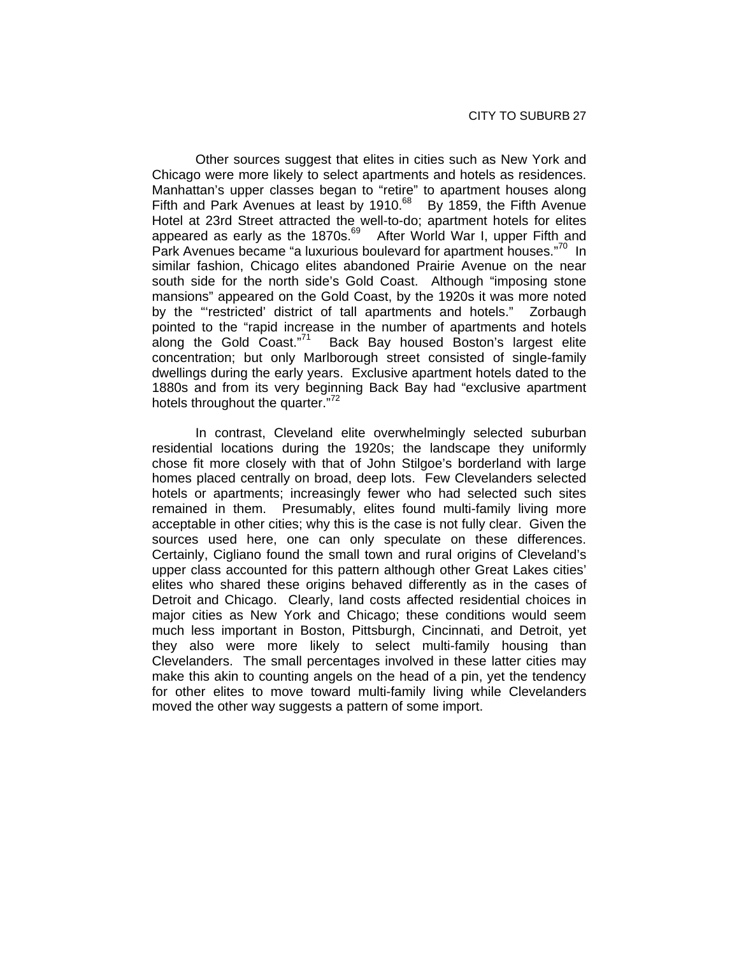Other sources suggest that elites in cities such as New York and Chicago were more likely to select apartments and hotels as residences. Manhattan's upper classes began to "retire" to apartment houses along Fifth and Park Avenues at least by 1910.<sup>68</sup> By 1859, the Fifth Avenue Hotel at 23rd Street attracted the well-to-do; apartment hotels for elites appeared as early as the  $1870s$ .<sup>69</sup> After World War I, upper Fifth and Park Avenues became "a luxurious boulevard for apartment houses."<sup>70</sup> In similar fashion, Chicago elites abandoned Prairie Avenue on the near south side for the north side's Gold Coast. Although "imposing stone mansions" appeared on the Gold Coast, by the 1920s it was more noted by the "'restricted' district of tall apartments and hotels." Zorbaugh pointed to the "rapid increase in the number of apartments and hotels along the Gold Coast."<sup>71</sup> Back Bay housed Boston's largest elite concentration; but only Marlborough street consisted of single-family dwellings during the early years. Exclusive apartment hotels dated to the 1880s and from its very beginning Back Bay had "exclusive apartment hotels throughout the quarter."<sup>72</sup>

In contrast, Cleveland elite overwhelmingly selected suburban residential locations during the 1920s; the landscape they uniformly chose fit more closely with that of John Stilgoe's borderland with large homes placed centrally on broad, deep lots. Few Clevelanders selected hotels or apartments; increasingly fewer who had selected such sites remained in them. Presumably, elites found multi-family living more acceptable in other cities; why this is the case is not fully clear. Given the sources used here, one can only speculate on these differences. Certainly, Cigliano found the small town and rural origins of Cleveland's upper class accounted for this pattern although other Great Lakes cities' elites who shared these origins behaved differently as in the cases of Detroit and Chicago. Clearly, land costs affected residential choices in major cities as New York and Chicago; these conditions would seem much less important in Boston, Pittsburgh, Cincinnati, and Detroit, yet they also were more likely to select multi-family housing than Clevelanders. The small percentages involved in these latter cities may make this akin to counting angels on the head of a pin, yet the tendency for other elites to move toward multi-family living while Clevelanders moved the other way suggests a pattern of some import.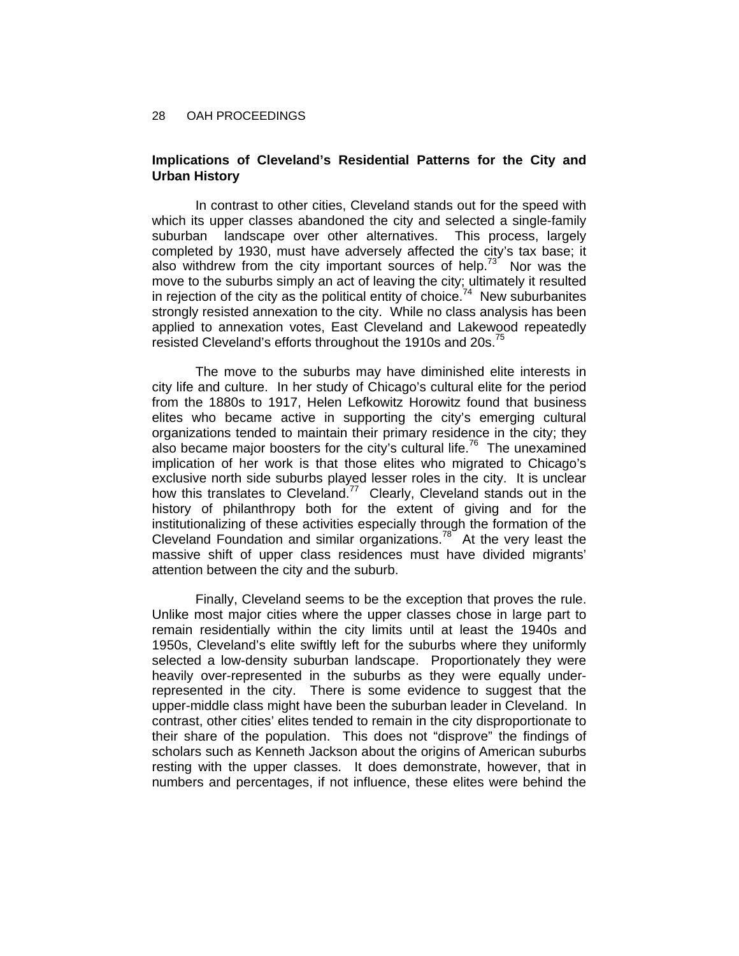# **Implications of Cleveland's Residential Patterns for the City and Urban History**

In contrast to other cities, Cleveland stands out for the speed with which its upper classes abandoned the city and selected a single-family suburban landscape over other alternatives. This process, largely completed by 1930, must have adversely affected the city's tax base; it also withdrew from the city important sources of help.<sup>73</sup> Nor was the move to the suburbs simply an act of leaving the city; ultimately it resulted in rejection of the city as the political entity of choice.<sup>74</sup> New suburbanites strongly resisted annexation to the city. While no class analysis has been applied to annexation votes, East Cleveland and Lakewood repeatedly resisted Cleveland's efforts throughout the 1910s and 20s.<sup>75</sup>

The move to the suburbs may have diminished elite interests in city life and culture. In her study of Chicago's cultural elite for the period from the 1880s to 1917, Helen Lefkowitz Horowitz found that business elites who became active in supporting the city's emerging cultural organizations tended to maintain their primary residence in the city; they also became major boosters for the city's cultural life.<sup>76</sup> The unexamined implication of her work is that those elites who migrated to Chicago's exclusive north side suburbs played lesser roles in the city. It is unclear how this translates to Cleveland.<sup>77</sup> Clearly, Cleveland stands out in the history of philanthropy both for the extent of giving and for the institutionalizing of these activities especially through the formation of the Cleveland Foundation and similar organizations.<sup>78</sup> At the very least the massive shift of upper class residences must have divided migrants' attention between the city and the suburb.

Finally, Cleveland seems to be the exception that proves the rule. Unlike most major cities where the upper classes chose in large part to remain residentially within the city limits until at least the 1940s and 1950s, Cleveland's elite swiftly left for the suburbs where they uniformly selected a low-density suburban landscape. Proportionately they were heavily over-represented in the suburbs as they were equally underrepresented in the city. There is some evidence to suggest that the upper-middle class might have been the suburban leader in Cleveland. In contrast, other cities' elites tended to remain in the city disproportionate to their share of the population. This does not "disprove" the findings of scholars such as Kenneth Jackson about the origins of American suburbs resting with the upper classes. It does demonstrate, however, that in numbers and percentages, if not influence, these elites were behind the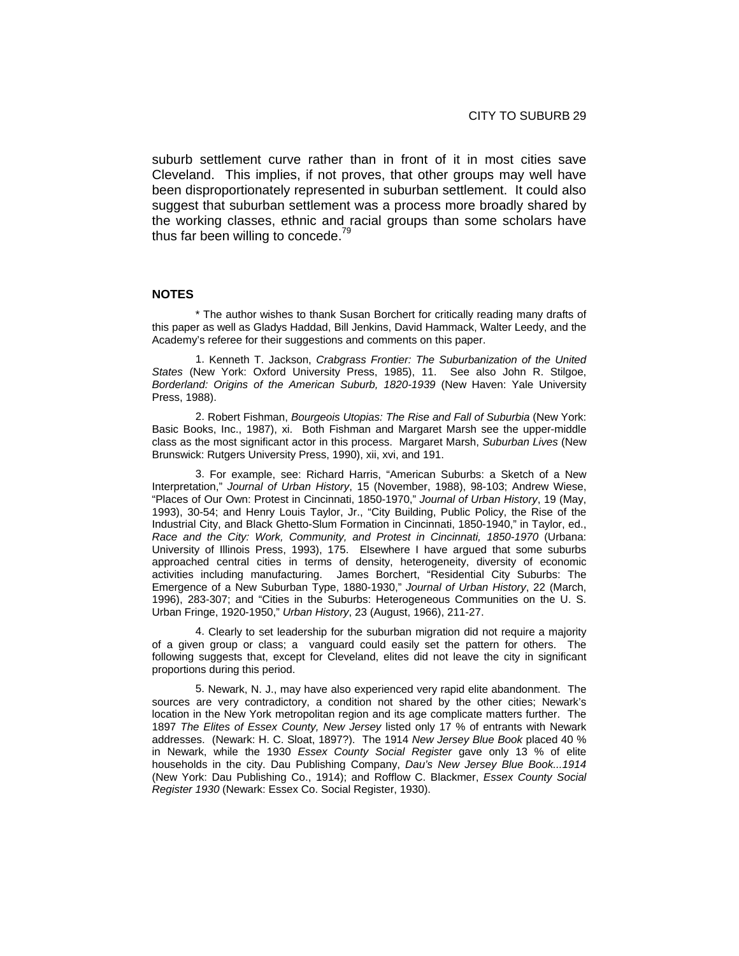suburb settlement curve rather than in front of it in most cities save Cleveland. This implies, if not proves, that other groups may well have been disproportionately represented in suburban settlement. It could also suggest that suburban settlement was a process more broadly shared by the working classes, ethnic and racial groups than some scholars have thus far been willing to concede.<sup>79</sup>

### **NOTES**

\* The author wishes to thank Susan Borchert for critically reading many drafts of this paper as well as Gladys Haddad, Bill Jenkins, David Hammack, Walter Leedy, and the Academy's referee for their suggestions and comments on this paper.

1. Kenneth T. Jackson, *Crabgrass Frontier: The Suburbanization of the United States* (New York: Oxford University Press, 1985), 11. See also John R. Stilgoe, *Borderland: Origins of the American Suburb, 1820-1939* (New Haven: Yale University Press, 1988).

2. Robert Fishman, *Bourgeois Utopias: The Rise and Fall of Suburbia* (New York: Basic Books, Inc., 1987), xi. Both Fishman and Margaret Marsh see the upper-middle class as the most significant actor in this process. Margaret Marsh, *Suburban Lives* (New Brunswick: Rutgers University Press, 1990), xii, xvi, and 191.

3. For example, see: Richard Harris, "American Suburbs: a Sketch of a New Interpretation," *Journal of Urban History*, 15 (November, 1988), 98-103; Andrew Wiese, "Places of Our Own: Protest in Cincinnati, 1850-1970," *Journal of Urban History*, 19 (May, 1993), 30-54; and Henry Louis Taylor, Jr., "City Building, Public Policy, the Rise of the Industrial City, and Black Ghetto-Slum Formation in Cincinnati, 1850-1940," in Taylor, ed., *Race and the City: Work, Community, and Protest in Cincinnati, 1850-1970* (Urbana: University of Illinois Press, 1993), 175. Elsewhere I have argued that some suburbs approached central cities in terms of density, heterogeneity, diversity of economic activities including manufacturing. James Borchert, "Residential City Suburbs: The Emergence of a New Suburban Type, 1880-1930," *Journal of Urban History*, 22 (March, 1996), 283-307; and "Cities in the Suburbs: Heterogeneous Communities on the U. S. Urban Fringe, 1920-1950," *Urban History*, 23 (August, 1966), 211-27.

4. Clearly to set leadership for the suburban migration did not require a majority of a given group or class; a vanguard could easily set the pattern for others. The following suggests that, except for Cleveland, elites did not leave the city in significant proportions during this period.

5. Newark, N. J., may have also experienced very rapid elite abandonment. The sources are very contradictory, a condition not shared by the other cities; Newark's location in the New York metropolitan region and its age complicate matters further. The 1897 *The Elites of Essex County, New Jersey* listed only 17 % of entrants with Newark addresses. (Newark: H. C. Sloat, 1897?). The 1914 *New Jersey Blue Book* placed 40 % in Newark, while the 1930 *Essex County Social Register* gave only 13 % of elite households in the city. Dau Publishing Company, *Dau's New Jersey Blue Book...1914*  (New York: Dau Publishing Co., 1914); and Rofflow C. Blackmer, *Essex County Social Register 1930* (Newark: Essex Co. Social Register, 1930).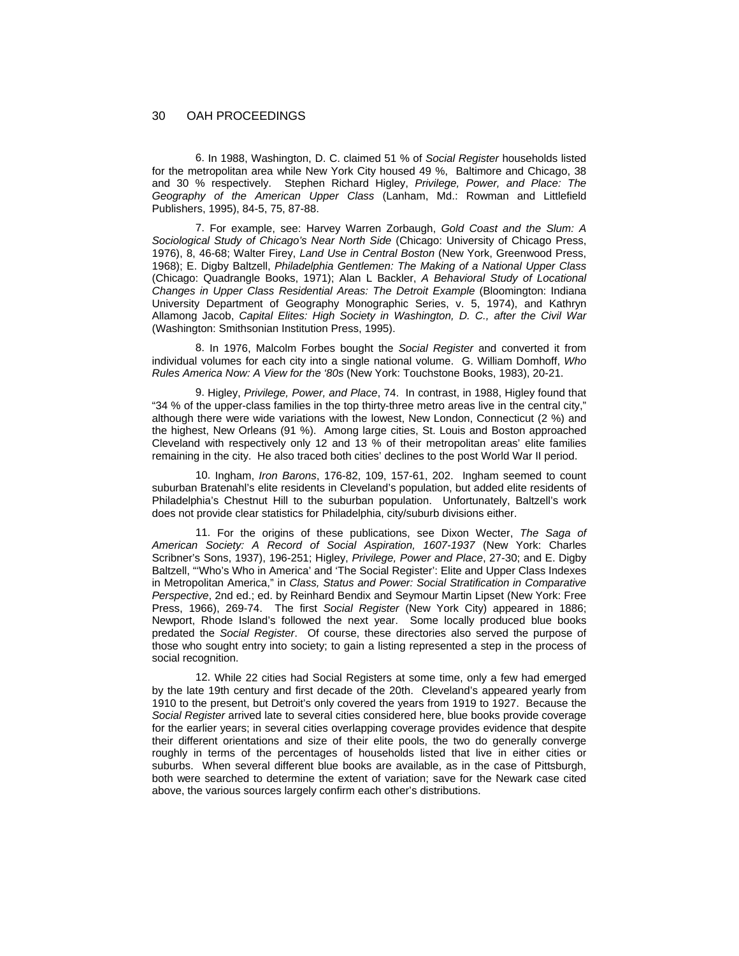6. In 1988, Washington, D. C. claimed 51 % of *Social Register* households listed for the metropolitan area while New York City housed 49 %, Baltimore and Chicago, 38 and 30 % respectively. Stephen Richard Higley, *Privilege, Power, and Place: The Geography of the American Upper Class* (Lanham, Md.: Rowman and Littlefield Publishers, 1995), 84-5, 75, 87-88.

7. For example, see: Harvey Warren Zorbaugh, *Gold Coast and the Slum: A Sociological Study of Chicago's Near North Side* (Chicago: University of Chicago Press, 1976), 8, 46-68; Walter Firey, *Land Use in Central Boston* (New York, Greenwood Press, 1968); E. Digby Baltzell, *Philadelphia Gentlemen: The Making of a National Upper Class* (Chicago: Quadrangle Books, 1971); Alan L Backler, *A Behavioral Study of Locational Changes in Upper Class Residential Areas: The Detroit Example* (Bloomington: Indiana University Department of Geography Monographic Series, v. 5, 1974), and Kathryn Allamong Jacob, *Capital Elites: High Society in Washington, D. C., after the Civil War* (Washington: Smithsonian Institution Press, 1995).

8. In 1976, Malcolm Forbes bought the *Social Register* and converted it from individual volumes for each city into a single national volume. G. William Domhoff, *Who Rules America Now: A View for the '80s* (New York: Touchstone Books, 1983), 20-21.

9. Higley, *Privilege, Power, and Place*, 74. In contrast, in 1988, Higley found that "34 % of the upper-class families in the top thirty-three metro areas live in the central city," although there were wide variations with the lowest, New London, Connecticut (2 %) and the highest, New Orleans (91 %). Among large cities, St. Louis and Boston approached Cleveland with respectively only 12 and 13 % of their metropolitan areas' elite families remaining in the city. He also traced both cities' declines to the post World War II period.

10. Ingham, *Iron Barons*, 176-82, 109, 157-61, 202. Ingham seemed to count suburban Bratenahl's elite residents in Cleveland's population, but added elite residents of Philadelphia's Chestnut Hill to the suburban population. Unfortunately, Baltzell's work does not provide clear statistics for Philadelphia, city/suburb divisions either.

11. For the origins of these publications, see Dixon Wecter, *The Saga of American Society: A Record of Social Aspiration, 1607-1937* (New York: Charles Scribner's Sons, 1937), 196-251; Higley, *Privilege, Power and Place*, 27-30; and E. Digby Baltzell, "'Who's Who in America' and 'The Social Register': Elite and Upper Class Indexes in Metropolitan America," in *Class, Status and Power: Social Stratification in Comparative Perspective*, 2nd ed.; ed. by Reinhard Bendix and Seymour Martin Lipset (New York: Free Press, 1966), 269-74. The first *Social Register* (New York City) appeared in 1886; Newport, Rhode Island's followed the next year. Some locally produced blue books predated the *Social Register*. Of course, these directories also served the purpose of those who sought entry into society; to gain a listing represented a step in the process of social recognition.

12. While 22 cities had Social Registers at some time, only a few had emerged by the late 19th century and first decade of the 20th. Cleveland's appeared yearly from 1910 to the present, but Detroit's only covered the years from 1919 to 1927. Because the *Social Register* arrived late to several cities considered here, blue books provide coverage for the earlier years; in several cities overlapping coverage provides evidence that despite their different orientations and size of their elite pools, the two do generally converge roughly in terms of the percentages of households listed that live in either cities or suburbs. When several different blue books are available, as in the case of Pittsburgh, both were searched to determine the extent of variation; save for the Newark case cited above, the various sources largely confirm each other's distributions.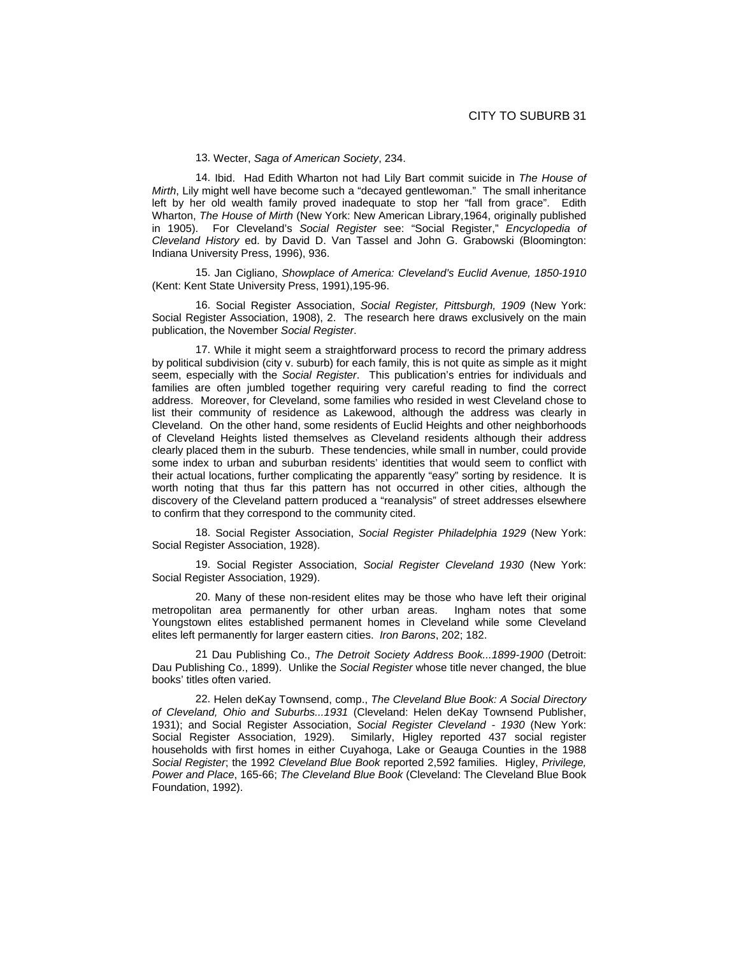13. Wecter, *Saga of American Society*, 234.

14. Ibid. Had Edith Wharton not had Lily Bart commit suicide in *The House of Mirth*, Lily might well have become such a "decayed gentlewoman." The small inheritance left by her old wealth family proved inadequate to stop her "fall from grace". Edith Wharton, *The House of Mirth* (New York: New American Library,1964, originally published in 1905). For Cleveland's *Social Register* see: "Social Register," *Encyclopedia of Cleveland History* ed. by David D. Van Tassel and John G. Grabowski (Bloomington: Indiana University Press, 1996), 936.

15. Jan Cigliano, *Showplace of America: Cleveland's Euclid Avenue, 1850-1910* (Kent: Kent State University Press, 1991),195-96.

16. Social Register Association, *Social Register, Pittsburgh, 1909* (New York: Social Register Association, 1908), 2. The research here draws exclusively on the main publication, the November *Social Register*.

17. While it might seem a straightforward process to record the primary address by political subdivision (city v. suburb) for each family, this is not quite as simple as it might seem, especially with the *Social Register*. This publication's entries for individuals and families are often jumbled together requiring very careful reading to find the correct address. Moreover, for Cleveland, some families who resided in west Cleveland chose to list their community of residence as Lakewood, although the address was clearly in Cleveland. On the other hand, some residents of Euclid Heights and other neighborhoods of Cleveland Heights listed themselves as Cleveland residents although their address clearly placed them in the suburb. These tendencies, while small in number, could provide some index to urban and suburban residents' identities that would seem to conflict with their actual locations, further complicating the apparently "easy" sorting by residence. It is worth noting that thus far this pattern has not occurred in other cities, although the discovery of the Cleveland pattern produced a "reanalysis" of street addresses elsewhere to confirm that they correspond to the community cited.

18. Social Register Association, *Social Register Philadelphia 1929* (New York: Social Register Association, 1928).

19. Social Register Association, *Social Register Cleveland 1930* (New York: Social Register Association, 1929).

20. Many of these non-resident elites may be those who have left their original metropolitan area permanently for other urban areas. Ingham notes that some Youngstown elites established permanent homes in Cleveland while some Cleveland elites left permanently for larger eastern cities. *Iron Barons*, 202; 182.

21 Dau Publishing Co., *The Detroit Society Address Book...1899-1900* (Detroit: Dau Publishing Co., 1899). Unlike the *Social Register* whose title never changed, the blue books' titles often varied.

22. Helen deKay Townsend, comp., *The Cleveland Blue Book: A Social Directory of Cleveland, Ohio and Suburbs...1931* (Cleveland: Helen deKay Townsend Publisher, 1931); and Social Register Association, *Social Register Cleveland - 1930* (New York: Social Register Association, 1929). Similarly, Higley reported 437 social register households with first homes in either Cuyahoga, Lake or Geauga Counties in the 1988 *Social Register*; the 1992 *Cleveland Blue Book* reported 2,592 families. Higley, *Privilege, Power and Place*, 165-66; *The Cleveland Blue Book* (Cleveland: The Cleveland Blue Book Foundation, 1992).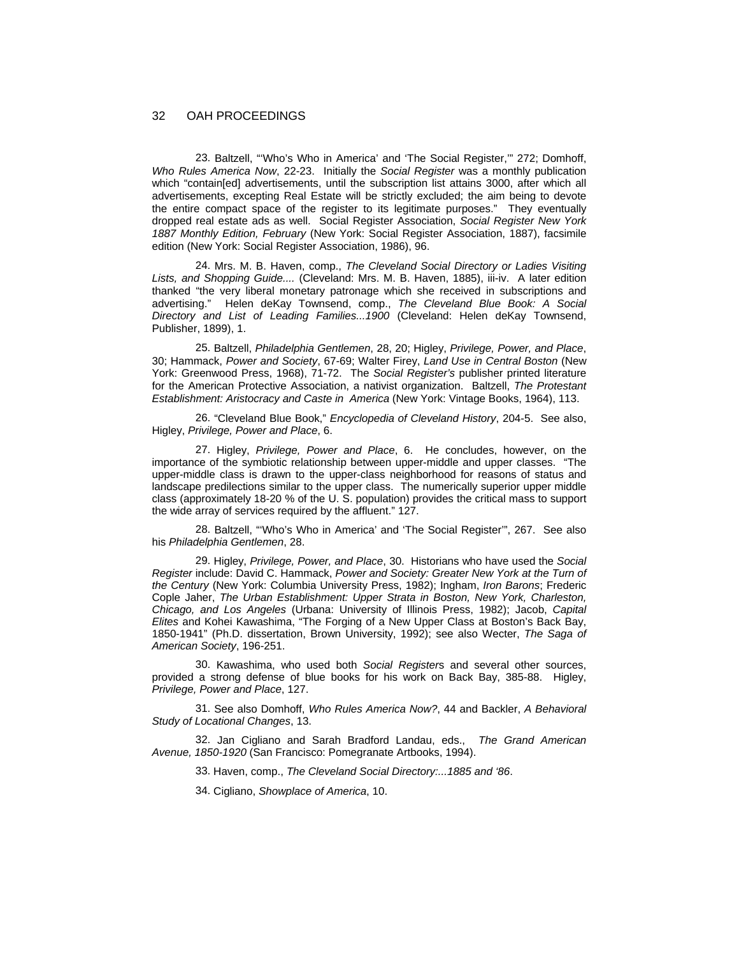23. Baltzell, "'Who's Who in America' and 'The Social Register,'" 272; Domhoff, *Who Rules America Now*, 22-23. Initially the *Social Register* was a monthly publication which "contain[ed] advertisements, until the subscription list attains 3000, after which all advertisements, excepting Real Estate will be strictly excluded; the aim being to devote the entire compact space of the register to its legitimate purposes." They eventually dropped real estate ads as well. Social Register Association, *Social Register New York 1887 Monthly Edition, February* (New York: Social Register Association, 1887), facsimile edition (New York: Social Register Association, 1986), 96.

24. Mrs. M. B. Haven, comp., *The Cleveland Social Directory or Ladies Visiting Lists, and Shopping Guide....* (Cleveland: Mrs. M. B. Haven, 1885), iii-iv. A later edition thanked "the very liberal monetary patronage which she received in subscriptions and advertising." Helen deKay Townsend, comp., *The Cleveland Blue Book: A Social Directory and List of Leading Families...1900* (Cleveland: Helen deKay Townsend, Publisher, 1899), 1.

25. Baltzell, *Philadelphia Gentlemen*, 28, 20; Higley, *Privilege, Power, and Place*, 30; Hammack, *Power and Society*, 67-69; Walter Firey, *Land Use in Central Boston* (New York: Greenwood Press, 1968), 71-72. The *Social Register's* publisher printed literature for the American Protective Association, a nativist organization. Baltzell, *The Protestant Establishment: Aristocracy and Caste in America* (New York: Vintage Books, 1964), 113.

26. "Cleveland Blue Book," *Encyclopedia of Cleveland History*, 204-5. See also, Higley, *Privilege, Power and Place*, 6.

27. Higley, *Privilege, Power and Place*, 6. He concludes, however, on the importance of the symbiotic relationship between upper-middle and upper classes. "The upper-middle class is drawn to the upper-class neighborhood for reasons of status and landscape predilections similar to the upper class. The numerically superior upper middle class (approximately 18-20 % of the U. S. population) provides the critical mass to support the wide array of services required by the affluent." 127.

28. Baltzell, "'Who's Who in America' and 'The Social Register'", 267. See also his *Philadelphia Gentlemen*, 28.

29. Higley, *Privilege, Power, and Place*, 30. Historians who have used the *Social Register* include: David C. Hammack, *Power and Society: Greater New York at the Turn of the Century* (New York: Columbia University Press, 1982); Ingham, *Iron Barons*; Frederic Cople Jaher, *The Urban Establishment: Upper Strata in Boston, New York, Charleston, Chicago, and Los Angeles* (Urbana: University of Illinois Press, 1982); Jacob, *Capital Elites* and Kohei Kawashima, "The Forging of a New Upper Class at Boston's Back Bay, 1850-1941" (Ph.D. dissertation, Brown University, 1992); see also Wecter, *The Saga of American Society*, 196-251.

30. Kawashima, who used both *Social Register*s and several other sources, provided a strong defense of blue books for his work on Back Bay, 385-88. Higley, *Privilege, Power and Place*, 127.

31. See also Domhoff, *Who Rules America Now?*, 44 and Backler, *A Behavioral Study of Locational Changes*, 13.

32. Jan Cigliano and Sarah Bradford Landau, eds., *The Grand American Avenue, 1850-1920* (San Francisco: Pomegranate Artbooks, 1994).

33. Haven, comp., *The Cleveland Social Directory:...1885 and '86*.

34. Cigliano, *Showplace of America*, 10.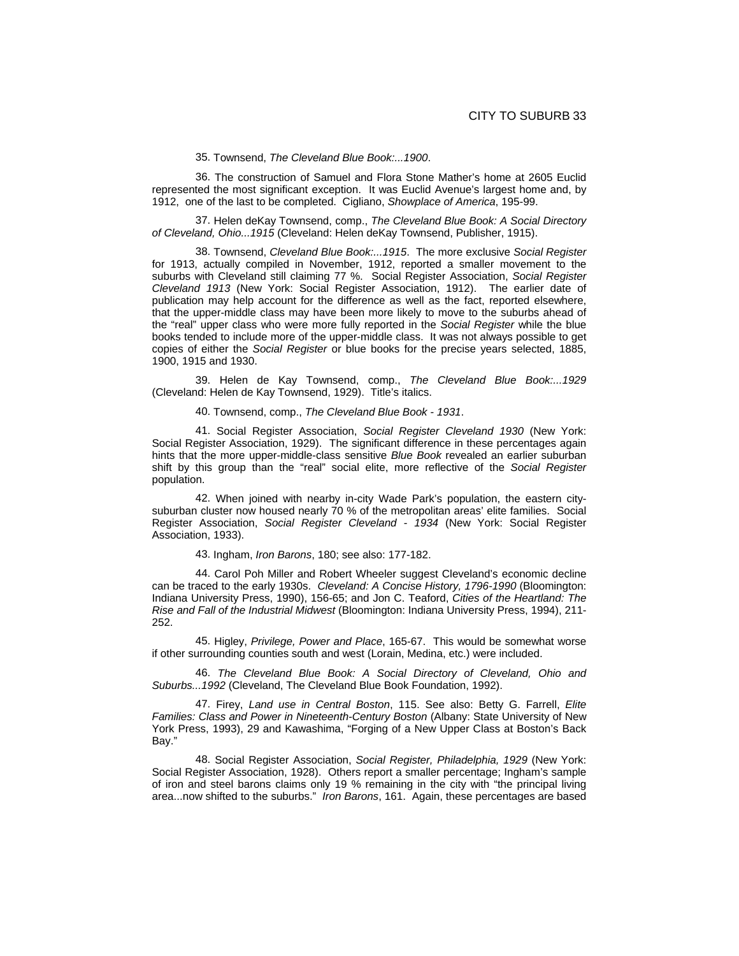35. Townsend, *The Cleveland Blue Book:...1900*.

36. The construction of Samuel and Flora Stone Mather's home at 2605 Euclid represented the most significant exception. It was Euclid Avenue's largest home and, by 1912, one of the last to be completed. Cigliano, *Showplace of America*, 195-99.

37. Helen deKay Townsend, comp., *The Cleveland Blue Book: A Social Directory of Cleveland, Ohio...1915* (Cleveland: Helen deKay Townsend, Publisher, 1915).

38. Townsend, *Cleveland Blue Book:...1915*. The more exclusive *Social Register*  for 1913, actually compiled in November, 1912, reported a smaller movement to the suburbs with Cleveland still claiming 77 %. Social Register Association, *Social Register Cleveland 1913* (New York: Social Register Association, 1912). The earlier date of publication may help account for the difference as well as the fact, reported elsewhere, that the upper-middle class may have been more likely to move to the suburbs ahead of the "real" upper class who were more fully reported in the *Social Register* while the blue books tended to include more of the upper-middle class. It was not always possible to get copies of either the *Social Register* or blue books for the precise years selected, 1885, 1900, 1915 and 1930.

39. Helen de Kay Townsend, comp., *The Cleveland Blue Book:...1929* (Cleveland: Helen de Kay Townsend, 1929). Title's italics.

40. Townsend, comp., *The Cleveland Blue Book - 1931*.

41. Social Register Association, *Social Register Cleveland 1930* (New York: Social Register Association, 1929). The significant difference in these percentages again hints that the more upper-middle-class sensitive *Blue Book* revealed an earlier suburban shift by this group than the "real" social elite, more reflective of the *Social Register* population.

42. When joined with nearby in-city Wade Park's population, the eastern citysuburban cluster now housed nearly 70 % of the metropolitan areas' elite families. Social Register Association, *Social Register Cleveland - 1934* (New York: Social Register Association, 1933).

43. Ingham, *Iron Barons*, 180; see also: 177-182.

44. Carol Poh Miller and Robert Wheeler suggest Cleveland's economic decline can be traced to the early 1930s. *Cleveland: A Concise History, 1796-1990* (Bloomington: Indiana University Press, 1990), 156-65; and Jon C. Teaford, *Cities of the Heartland: The Rise and Fall of the Industrial Midwest* (Bloomington: Indiana University Press, 1994), 211- 252.

45. Higley, *Privilege, Power and Place*, 165-67. This would be somewhat worse if other surrounding counties south and west (Lorain, Medina, etc.) were included.

46. *The Cleveland Blue Book: A Social Directory of Cleveland, Ohio and Suburbs...1992* (Cleveland, The Cleveland Blue Book Foundation, 1992).

47. Firey, *Land use in Central Boston*, 115. See also: Betty G. Farrell, *Elite Families: Class and Power in Nineteenth-Century Boston* (Albany: State University of New York Press, 1993), 29 and Kawashima, "Forging of a New Upper Class at Boston's Back Bay."

48. Social Register Association, *Social Register, Philadelphia, 1929* (New York: Social Register Association, 1928). Others report a smaller percentage; Ingham's sample of iron and steel barons claims only 19 % remaining in the city with "the principal living area...now shifted to the suburbs." *Iron Barons*, 161. Again, these percentages are based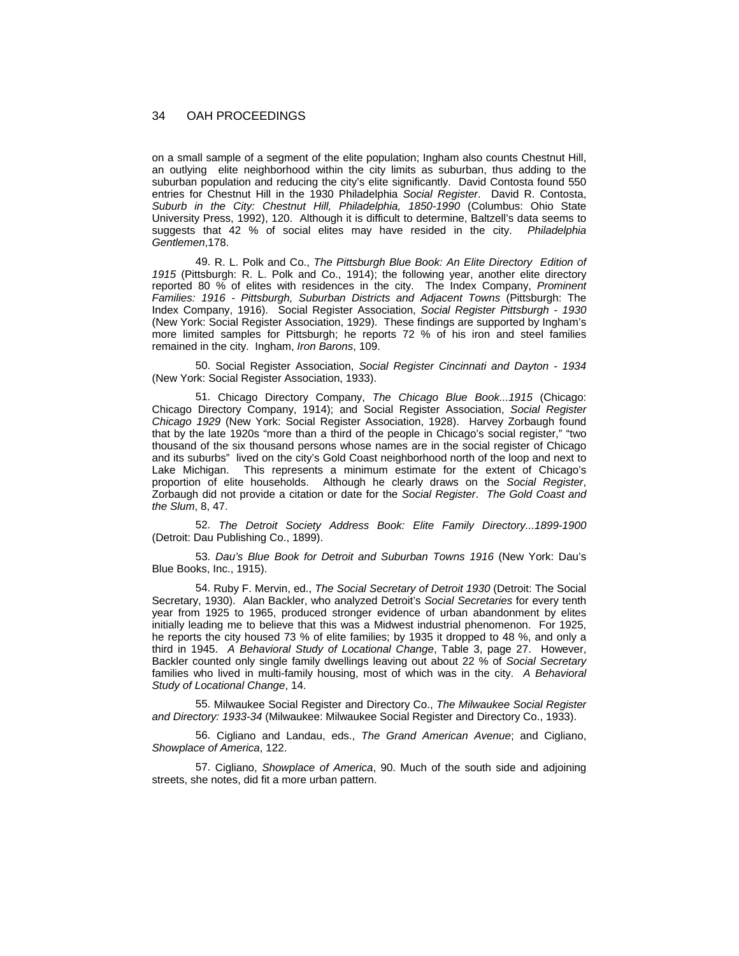on a small sample of a segment of the elite population; Ingham also counts Chestnut Hill, an outlying elite neighborhood within the city limits as suburban, thus adding to the suburban population and reducing the city's elite significantly. David Contosta found 550 entries for Chestnut Hill in the 1930 Philadelphia *Social Register*. David R. Contosta, *Suburb in the City: Chestnut Hill, Philadelphia, 1850-1990* (Columbus: Ohio State University Press, 1992), 120. Although it is difficult to determine, Baltzell's data seems to suggests that 42 % of social elites may have resided in the city. *Philadelphia Gentlemen*,178.

49. R. L. Polk and Co., *The Pittsburgh Blue Book: An Elite Directory Edition of 1915* (Pittsburgh: R. L. Polk and Co., 1914); the following year, another elite directory reported 80 % of elites with residences in the city. The Index Company, *Prominent*  Families: 1916 - Pittsburgh, Suburban Districts and Adjacent Towns (Pittsburgh: The Index Company, 1916). Social Register Association, *Social Register Pittsburgh - 1930* (New York: Social Register Association, 1929). These findings are supported by Ingham's more limited samples for Pittsburgh; he reports 72 % of his iron and steel families remained in the city. Ingham, *Iron Barons*, 109.

50. Social Register Association, *Social Register Cincinnati and Dayton - 1934* (New York: Social Register Association, 1933).

51. Chicago Directory Company, *The Chicago Blue Book...1915* (Chicago: Chicago Directory Company, 1914); and Social Register Association, *Social Register Chicago 1929* (New York: Social Register Association, 1928). Harvey Zorbaugh found that by the late 1920s "more than a third of the people in Chicago's social register," "two thousand of the six thousand persons whose names are in the social register of Chicago and its suburbs" lived on the city's Gold Coast neighborhood north of the loop and next to Lake Michigan. This represents a minimum estimate for the extent of Chicago's proportion of elite households. Although he clearly draws on the *Social Register*, Zorbaugh did not provide a citation or date for the *Social Register*. *The Gold Coast and the Slum*, 8, 47.

52. *The Detroit Society Address Book: Elite Family Directory...1899-1900* (Detroit: Dau Publishing Co., 1899).

53. *Dau's Blue Book for Detroit and Suburban Towns 1916* (New York: Dau's Blue Books, Inc., 1915).

54. Ruby F. Mervin, ed., *The Social Secretary of Detroit 1930* (Detroit: The Social Secretary, 1930). Alan Backler, who analyzed Detroit's *Social Secretaries* for every tenth year from 1925 to 1965, produced stronger evidence of urban abandonment by elites initially leading me to believe that this was a Midwest industrial phenomenon. For 1925, he reports the city housed 73 % of elite families; by 1935 it dropped to 48 %, and only a third in 1945. *A Behavioral Study of Locational Change*, Table 3, page 27. However, Backler counted only single family dwellings leaving out about 22 % of *Social Secretary* families who lived in multi-family housing, most of which was in the city. *A Behavioral Study of Locational Change*, 14.

55. Milwaukee Social Register and Directory Co., *The Milwaukee Social Register and Directory: 1933-34* (Milwaukee: Milwaukee Social Register and Directory Co., 1933).

56. Cigliano and Landau, eds., *The Grand American Avenue*; and Cigliano, *Showplace of America*, 122.

57. Cigliano, *Showplace of America*, 90. Much of the south side and adjoining streets, she notes, did fit a more urban pattern.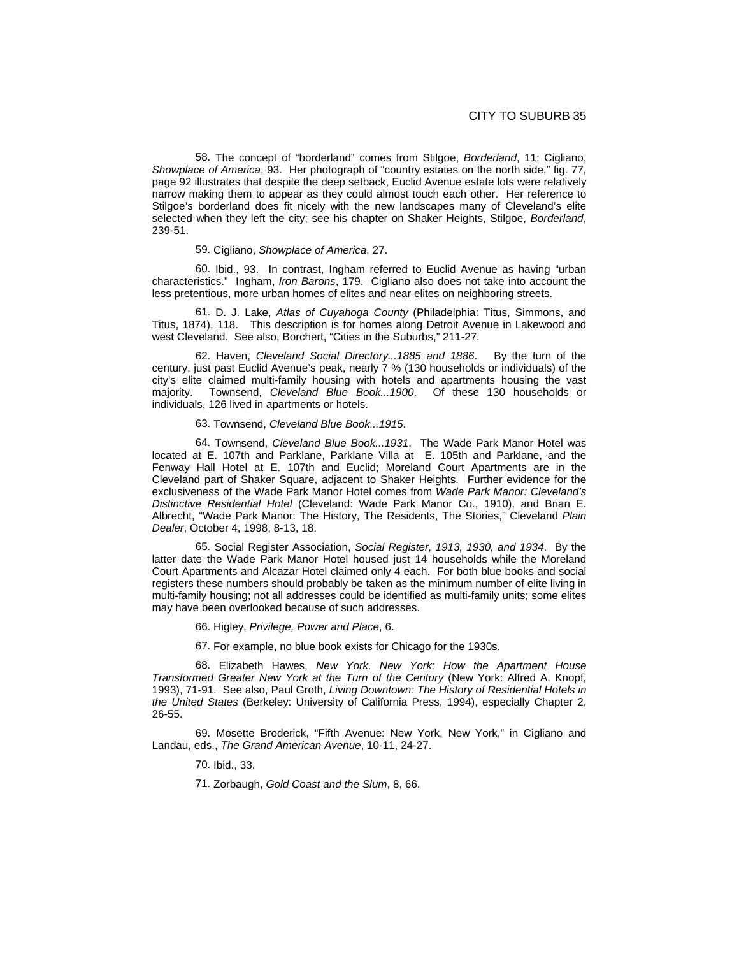58. The concept of "borderland" comes from Stilgoe, *Borderland*, 11; Cigliano, *Showplace of America*, 93. Her photograph of "country estates on the north side," fig. 77, page 92 illustrates that despite the deep setback, Euclid Avenue estate lots were relatively narrow making them to appear as they could almost touch each other. Her reference to Stilgoe's borderland does fit nicely with the new landscapes many of Cleveland's elite selected when they left the city; see his chapter on Shaker Heights, Stilgoe, *Borderland*, 239-51.

59. Cigliano, *Showplace of America*, 27.

60. Ibid., 93. In contrast, Ingham referred to Euclid Avenue as having "urban characteristics." Ingham, *Iron Barons*, 179. Cigliano also does not take into account the less pretentious, more urban homes of elites and near elites on neighboring streets.

61. D. J. Lake, *Atlas of Cuyahoga County* (Philadelphia: Titus, Simmons, and Titus, 1874), 118. This description is for homes along Detroit Avenue in Lakewood and west Cleveland. See also, Borchert, "Cities in the Suburbs," 211-27.

62. Haven, *Cleveland Social Directory...1885 and 1886*. By the turn of the century, just past Euclid Avenue's peak, nearly 7 % (130 households or individuals) of the city's elite claimed multi-family housing with hotels and apartments housing the vast majority. Townsend, *Cleveland Blue Book...1900*. Of these 130 households or individuals, 126 lived in apartments or hotels.

#### 63. Townsend, *Cleveland Blue Book...1915*.

64. Townsend, *Cleveland Blue Book...1931*. The Wade Park Manor Hotel was located at E. 107th and Parklane, Parklane Villa at E. 105th and Parklane, and the Fenway Hall Hotel at E. 107th and Euclid; Moreland Court Apartments are in the Cleveland part of Shaker Square, adjacent to Shaker Heights. Further evidence for the exclusiveness of the Wade Park Manor Hotel comes from *Wade Park Manor: Cleveland's Distinctive Residential Hotel* (Cleveland: Wade Park Manor Co., 1910), and Brian E. Albrecht, "Wade Park Manor: The History, The Residents, The Stories," Cleveland *Plain Dealer*, October 4, 1998, 8-13, 18.

65. Social Register Association, *Social Register, 1913, 1930, and 1934*. By the latter date the Wade Park Manor Hotel housed just 14 households while the Moreland Court Apartments and Alcazar Hotel claimed only 4 each. For both blue books and social registers these numbers should probably be taken as the minimum number of elite living in multi-family housing; not all addresses could be identified as multi-family units; some elites may have been overlooked because of such addresses.

66. Higley, *Privilege, Power and Place*, 6.

67. For example, no blue book exists for Chicago for the 1930s.

68. Elizabeth Hawes, *New York, New York: How the Apartment House Transformed Greater New York at the Turn of the Century* (New York: Alfred A. Knopf, 1993), 71-91. See also, Paul Groth, *Living Downtown: The History of Residential Hotels in the United States* (Berkeley: University of California Press, 1994), especially Chapter 2, 26-55.

69. Mosette Broderick, "Fifth Avenue: New York, New York," in Cigliano and Landau, eds., *The Grand American Avenue*, 10-11, 24-27.

70. Ibid., 33.

71. Zorbaugh, *Gold Coast and the Slum*, 8, 66.